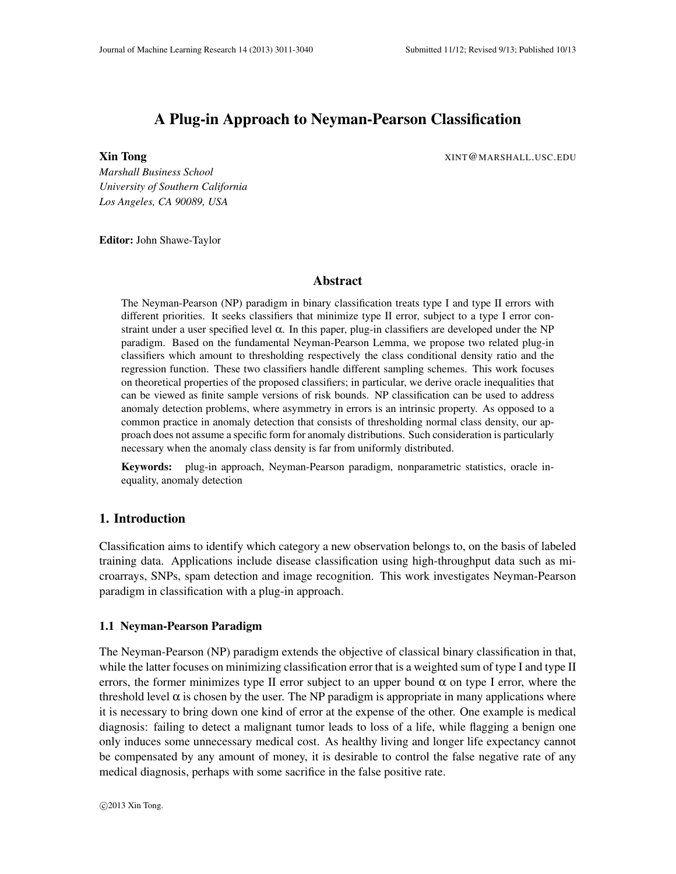# A Plug-in Approach to Neyman-Pearson Classification

**Xin Tong** XINT@MARSHALL.USC.EDU

*Marshall Business School University of Southern California Los Angeles, CA 90089, USA*

Editor: John Shawe-Taylor

# Abstract

The Neyman-Pearson (NP) paradigm in binary classification treats type I and type II errors with different priorities. It seeks classifiers that minimize type II error, subject to a type I error constraint under a user specified level  $\alpha$ . In this paper, plug-in classifiers are developed under the NP paradigm. Based on the fundamental Neyman-Pearson Lemma, we propose two related plug-in classifiers which amount to thresholding respectively the class conditional density ratio and the regression function. These two classifiers handle different sampling schemes. This work focuses on theoretical properties of the proposed classifiers; in particular, we derive oracle inequalities that can be viewed as finite sample versions of risk bounds. NP classification can be used to address anomaly detection problems, where asymmetry in errors is an intrinsic property. As opposed to a common practice in anomaly detection that consists of thresholding normal class density, our approach does not assume a specific form for anomaly distributions. Such consideration is particularly necessary when the anomaly class density is far from uniformly distributed.

Keywords: plug-in approach, Neyman-Pearson paradigm, nonparametric statistics, oracle inequality, anomaly detection

# 1. Introduction

Classification aims to identify which category a new observation belongs to, on the basis of labeled training data. Applications include disease classification using high-throughput data such as microarrays, SNPs, spam detection and image recognition. This work investigates Neyman-Pearson paradigm in classification with a plug-in approach.

## 1.1 Neyman-Pearson Paradigm

The Neyman-Pearson (NP) paradigm extends the objective of classical binary classification in that, while the latter focuses on minimizing classification error that is a weighted sum of type I and type II errors, the former minimizes type II error subject to an upper bound  $\alpha$  on type I error, where the threshold level  $\alpha$  is chosen by the user. The NP paradigm is appropriate in many applications where it is necessary to bring down one kind of error at the expense of the other. One example is medical diagnosis: failing to detect a malignant tumor leads to loss of a life, while flagging a benign one only induces some unnecessary medical cost. As healthy living and longer life expectancy cannot be compensated by any amount of money, it is desirable to control the false negative rate of any medical diagnosis, perhaps with some sacrifice in the false positive rate.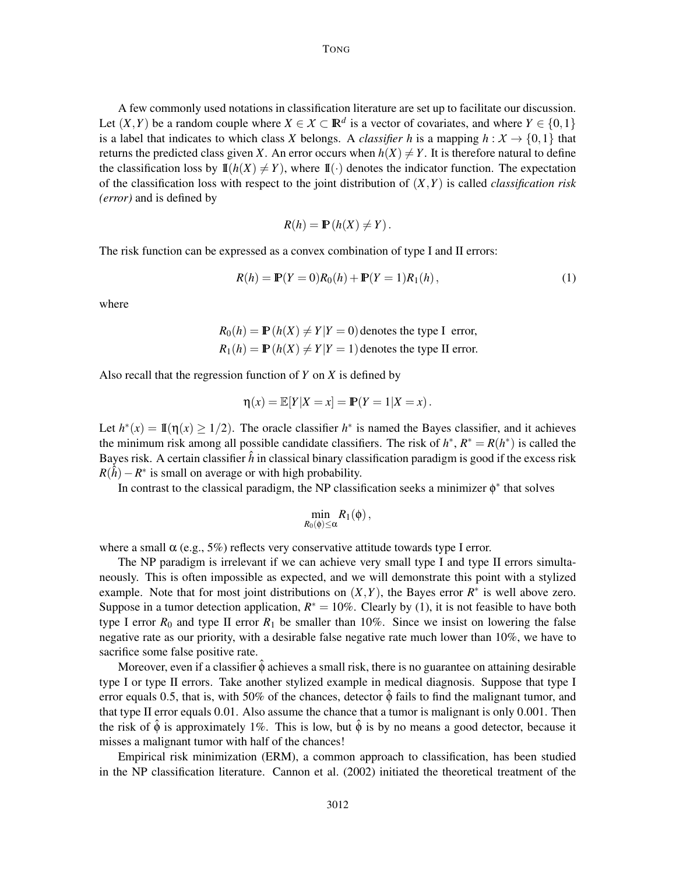A few commonly used notations in classification literature are set up to facilitate our discussion. Let  $(X, Y)$  be a random couple where  $X \in \mathcal{X} \subset \mathbb{R}^d$  is a vector of covariates, and where  $Y \in \{0, 1\}$ is a label that indicates to which class *X* belongs. A *classifier* h is a mapping  $h : X \to \{0,1\}$  that returns the predicted class given *X*. An error occurs when  $h(X) \neq Y$ . It is therefore natural to define the classification loss by  $\mathbb{I}(h(X) \neq Y)$ , where  $\mathbb{I}(\cdot)$  denotes the indicator function. The expectation of the classification loss with respect to the joint distribution of (*X*,*Y*) is called *classification risk (error)* and is defined by

$$
R(h) = \mathbb{P}\left(h(X) \neq Y\right).
$$

The risk function can be expressed as a convex combination of type I and II errors:

$$
R(h) = \mathbb{P}(Y=0)R_0(h) + \mathbb{P}(Y=1)R_1(h),
$$
\n(1)

where

$$
R_0(h) = \mathbb{P}(h(X) \neq Y | Y = 0)
$$
 denotes the type I error,  

$$
R_1(h) = \mathbb{P}(h(X) \neq Y | Y = 1)
$$
 denotes the type II error.

Also recall that the regression function of *Y* on *X* is defined by

$$
\eta(x) = \mathbb{E}[Y|X=x] = \mathbb{P}(Y=1|X=x).
$$

Let  $h^*(x) = \mathbb{I}(\eta(x) \ge 1/2)$ . The oracle classifier  $h^*$  is named the Bayes classifier, and it achieves the minimum risk among all possible candidate classifiers. The risk of  $h^*$ ,  $R^* = R(h^*)$  is called the Bayes risk. A certain classifier  $\hat{h}$  in classical binary classification paradigm is good if the excess risk  $R(\hat{h}) - R^*$  is small on average or with high probability.

In contrast to the classical paradigm, the NP classification seeks a minimizer  $\phi^*$  that solves

$$
\min_{R_0(\phi)\leq\alpha}R_1(\phi)\,,
$$

where a small  $\alpha$  (e.g., 5%) reflects very conservative attitude towards type I error.

The NP paradigm is irrelevant if we can achieve very small type I and type II errors simultaneously. This is often impossible as expected, and we will demonstrate this point with a stylized example. Note that for most joint distributions on  $(X, Y)$ , the Bayes error  $R^*$  is well above zero. Suppose in a tumor detection application,  $R^* = 10\%$ . Clearly by (1), it is not feasible to have both type I error  $R_0$  and type II error  $R_1$  be smaller than 10%. Since we insist on lowering the false negative rate as our priority, with a desirable false negative rate much lower than 10%, we have to sacrifice some false positive rate.

Moreover, even if a classifier  $\hat{\phi}$  achieves a small risk, there is no guarantee on attaining desirable type I or type II errors. Take another stylized example in medical diagnosis. Suppose that type I error equals 0.5, that is, with 50% of the chances, detector  $\hat{\phi}$  fails to find the malignant tumor, and that type II error equals 0.01. Also assume the chance that a tumor is malignant is only 0.001. Then the risk of  $\hat{\phi}$  is approximately 1%. This is low, but  $\hat{\phi}$  is by no means a good detector, because it misses a malignant tumor with half of the chances!

Empirical risk minimization (ERM), a common approach to classification, has been studied in the NP classification literature. Cannon et al. (2002) initiated the theoretical treatment of the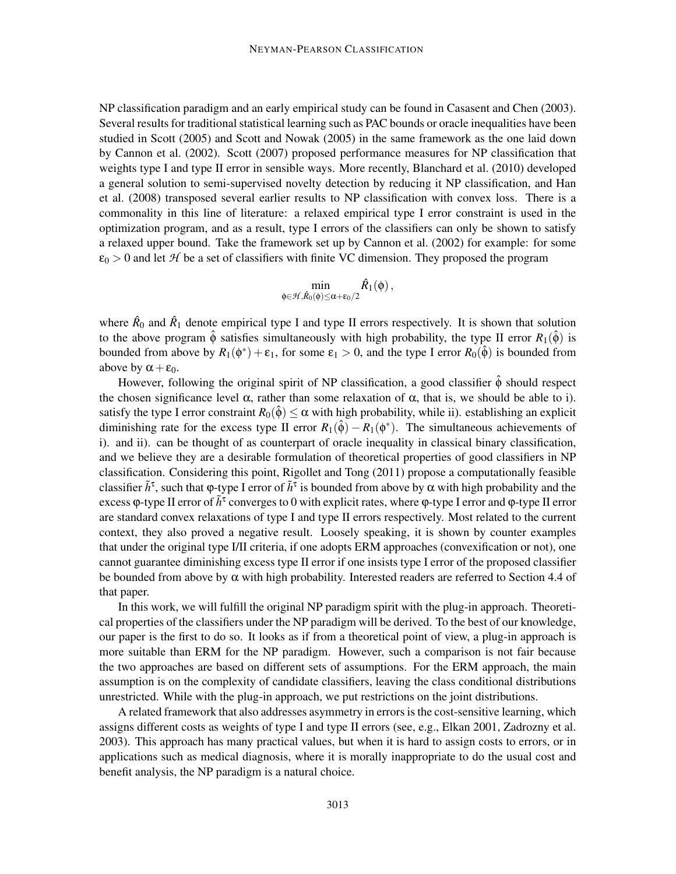NP classification paradigm and an early empirical study can be found in Casasent and Chen (2003). Several results for traditional statistical learning such as PAC bounds or oracle inequalities have been studied in Scott (2005) and Scott and Nowak (2005) in the same framework as the one laid down by Cannon et al. (2002). Scott (2007) proposed performance measures for NP classification that weights type I and type II error in sensible ways. More recently, Blanchard et al. (2010) developed a general solution to semi-supervised novelty detection by reducing it NP classification, and Han et al. (2008) transposed several earlier results to NP classification with convex loss. There is a commonality in this line of literature: a relaxed empirical type I error constraint is used in the optimization program, and as a result, type I errors of the classifiers can only be shown to satisfy a relaxed upper bound. Take the framework set up by Cannon et al. (2002) for example: for some  $\varepsilon_0 > 0$  and let  $H$  be a set of classifiers with finite VC dimension. They proposed the program

$$
\min_{\phi \in \mathcal{H}, \hat{R}_0(\phi) \leq \alpha + \epsilon_0/2} \hat{R}_1(\phi),
$$

where  $\hat{R}_0$  and  $\hat{R}_1$  denote empirical type I and type II errors respectively. It is shown that solution to the above program  $\hat{\phi}$  satisfies simultaneously with high probability, the type II error  $R_1(\hat{\phi})$  is bounded from above by  $R_1(\phi^*) + \varepsilon_1$ , for some  $\varepsilon_1 > 0$ , and the type I error  $R_0(\hat{\phi})$  is bounded from above by  $\alpha + \varepsilon_0$ .

However, following the original spirit of NP classification, a good classifier  $\hat{\phi}$  should respect the chosen significance level  $\alpha$ , rather than some relaxation of  $\alpha$ , that is, we should be able to i). satisfy the type I error constraint  $R_0(\hat{\phi}) \leq \alpha$  with high probability, while ii). establishing an explicit diminishing rate for the excess type II error  $R_1(\hat{\phi}) - R_1(\phi^*)$ . The simultaneous achievements of i). and ii). can be thought of as counterpart of oracle inequality in classical binary classification, and we believe they are a desirable formulation of theoretical properties of good classifiers in NP classification. Considering this point, Rigollet and Tong (2011) propose a computationally feasible classifier  $\tilde{h}^{\tau}$ , such that  $\varphi$ -type I error of  $\tilde{h}^{\tau}$  is bounded from above by  $\alpha$  with high probability and the excess  $\phi$ -type II error of  $\tilde{h}^\tau$  converges to 0 with explicit rates, where  $\phi$ -type I error and  $\phi$ -type II error are standard convex relaxations of type I and type II errors respectively. Most related to the current context, they also proved a negative result. Loosely speaking, it is shown by counter examples that under the original type I/II criteria, if one adopts ERM approaches (convexification or not), one cannot guarantee diminishing excess type II error if one insists type I error of the proposed classifier be bounded from above by  $\alpha$  with high probability. Interested readers are referred to Section 4.4 of that paper.

In this work, we will fulfill the original NP paradigm spirit with the plug-in approach. Theoretical properties of the classifiers under the NP paradigm will be derived. To the best of our knowledge, our paper is the first to do so. It looks as if from a theoretical point of view, a plug-in approach is more suitable than ERM for the NP paradigm. However, such a comparison is not fair because the two approaches are based on different sets of assumptions. For the ERM approach, the main assumption is on the complexity of candidate classifiers, leaving the class conditional distributions unrestricted. While with the plug-in approach, we put restrictions on the joint distributions.

A related framework that also addresses asymmetry in errors is the cost-sensitive learning, which assigns different costs as weights of type I and type II errors (see, e.g., Elkan 2001, Zadrozny et al. 2003). This approach has many practical values, but when it is hard to assign costs to errors, or in applications such as medical diagnosis, where it is morally inappropriate to do the usual cost and benefit analysis, the NP paradigm is a natural choice.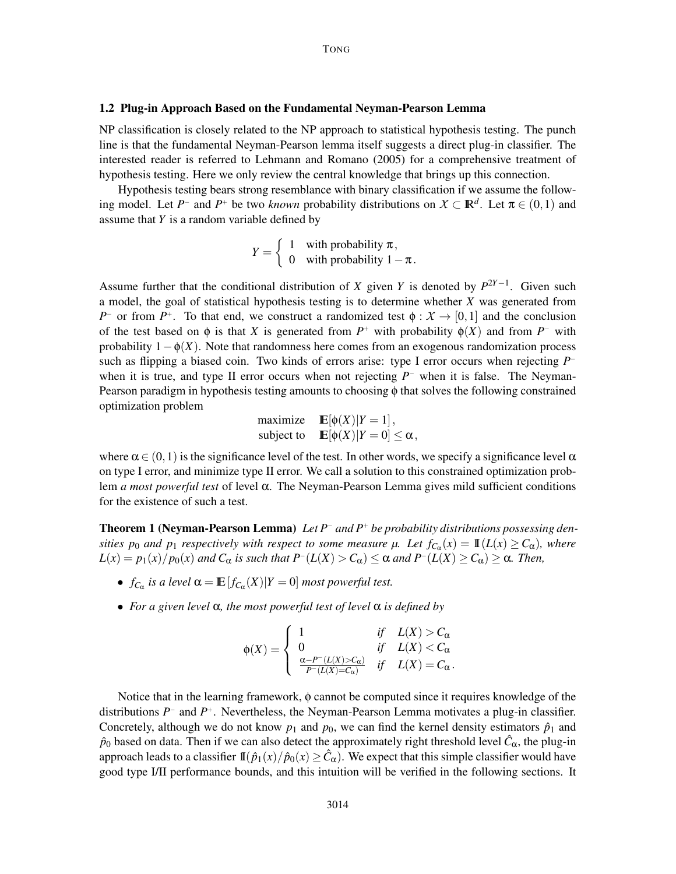## 1.2 Plug-in Approach Based on the Fundamental Neyman-Pearson Lemma

NP classification is closely related to the NP approach to statistical hypothesis testing. The punch line is that the fundamental Neyman-Pearson lemma itself suggests a direct plug-in classifier. The interested reader is referred to Lehmann and Romano (2005) for a comprehensive treatment of hypothesis testing. Here we only review the central knowledge that brings up this connection.

Hypothesis testing bears strong resemblance with binary classification if we assume the following model. Let *P*<sup>−</sup> and *P*<sup>+</sup> be two *known* probability distributions on  $X \subset \mathbb{R}^d$ . Let  $\pi \in (0,1)$  and assume that *Y* is a random variable defined by

$$
Y = \begin{cases} 1 & \text{with probability } \pi, \\ 0 & \text{with probability } 1 - \pi. \end{cases}
$$

Assume further that the conditional distribution of *X* given *Y* is denoted by  $P^{2Y-1}$ . Given such a model, the goal of statistical hypothesis testing is to determine whether *X* was generated from *P*<sup>-</sup> or from *P*<sup>+</sup>. To that end, we construct a randomized test  $\phi : X \to [0,1]$  and the conclusion of the test based on  $\phi$  is that *X* is generated from  $P^+$  with probability  $\phi(X)$  and from  $P^-$  with probability  $1 - \phi(X)$ . Note that randomness here comes from an exogenous randomization process such as flipping a biased coin. Two kinds of errors arise: type I error occurs when rejecting *P*<sup>−</sup> when it is true, and type II error occurs when not rejecting *P*<sup>−</sup> when it is false. The Neyman-Pearson paradigm in hypothesis testing amounts to choosing φ that solves the following constrained optimization problem

maximize 
$$
\mathbb{E}[\phi(X)|Y = 1],
$$
  
subject to  $\mathbb{E}[\phi(X)|Y = 0] \le \alpha,$ 

where  $\alpha \in (0,1)$  is the significance level of the test. In other words, we specify a significance level  $\alpha$ on type I error, and minimize type II error. We call a solution to this constrained optimization problem *a most powerful test* of level α. The Neyman-Pearson Lemma gives mild sufficient conditions for the existence of such a test.

Theorem 1 (Neyman-Pearson Lemma) *Let P*<sup>−</sup> *and P*<sup>+</sup> *be probability distributions possessing densities*  $p_0$  *and*  $p_1$  *respectively with respect to some measure*  $\mu$ . Let  $f_{C_\alpha}(x) = \mathbb{I}(L(x) \ge C_\alpha)$ , where  $L(x) = p_1(x)/p_0(x)$  and  $C_\alpha$  is such that  $P^-(L(X) > C_\alpha) \leq \alpha$  and  $P^-(L(X) \geq C_\alpha) \geq \alpha$ . Then,

- $f_{C_{\alpha}}$  *is a level*  $\alpha = \mathbb{E}[f_{C_{\alpha}}(X)|Y=0]$  *most powerful test.*
- *For a given level* α*, the most powerful test of level* α *is defined by*

$$
\varphi(X) = \begin{cases} 1 & \text{if} \quad L(X) > C_{\alpha} \\ 0 & \text{if} \quad L(X) < C_{\alpha} \\ \frac{\alpha - P^{-}(L(X) > C_{\alpha})}{P^{-}(L(X) = C_{\alpha})} & \text{if} \quad L(X) = C_{\alpha} . \end{cases}
$$

Notice that in the learning framework, φ cannot be computed since it requires knowledge of the distributions  $P^-$  and  $P^+$ . Nevertheless, the Neyman-Pearson Lemma motivates a plug-in classifier. Concretely, although we do not know  $p_1$  and  $p_0$ , we can find the kernel density estimators  $\hat{p}_1$  and  $\hat{p}_0$  based on data. Then if we can also detect the approximately right threshold level  $\hat{C}_\alpha$ , the plug-in approach leads to a classifier  $\mathbb{I}(\hat{p}_1(x)/\hat{p}_0(x) \geq \hat{C}_{\alpha})$ . We expect that this simple classifier would have good type I/II performance bounds, and this intuition will be verified in the following sections. It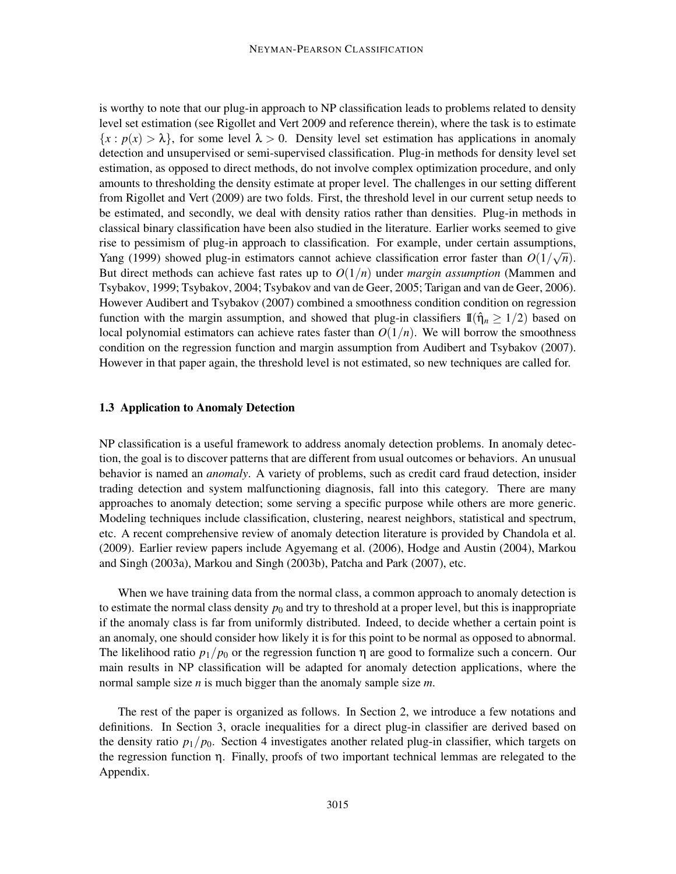is worthy to note that our plug-in approach to NP classification leads to problems related to density level set estimation (see Rigollet and Vert 2009 and reference therein), where the task is to estimate  ${x : p(x) > \lambda}$ , for some level  $\lambda > 0$ . Density level set estimation has applications in anomaly detection and unsupervised or semi-supervised classification. Plug-in methods for density level set estimation, as opposed to direct methods, do not involve complex optimization procedure, and only amounts to thresholding the density estimate at proper level. The challenges in our setting different from Rigollet and Vert (2009) are two folds. First, the threshold level in our current setup needs to be estimated, and secondly, we deal with density ratios rather than densities. Plug-in methods in classical binary classification have been also studied in the literature. Earlier works seemed to give rise to pessimism of plug-in approach to classification. For example, under certain assumptions, Yang (1999) showed plug-in estimators cannot achieve classification error faster than  $O(1/\sqrt{n})$ . But direct methods can achieve fast rates up to  $O(1/n)$  under *margin assumption* (Mammen and Tsybakov, 1999; Tsybakov, 2004; Tsybakov and van de Geer, 2005; Tarigan and van de Geer, 2006). However Audibert and Tsybakov (2007) combined a smoothness condition condition on regression function with the margin assumption, and showed that plug-in classifiers  $\mathbb{I}(\hat{\eta}_n \geq 1/2)$  based on local polynomial estimators can achieve rates faster than  $O(1/n)$ . We will borrow the smoothness condition on the regression function and margin assumption from Audibert and Tsybakov (2007). However in that paper again, the threshold level is not estimated, so new techniques are called for.

## 1.3 Application to Anomaly Detection

NP classification is a useful framework to address anomaly detection problems. In anomaly detection, the goal is to discover patterns that are different from usual outcomes or behaviors. An unusual behavior is named an *anomaly*. A variety of problems, such as credit card fraud detection, insider trading detection and system malfunctioning diagnosis, fall into this category. There are many approaches to anomaly detection; some serving a specific purpose while others are more generic. Modeling techniques include classification, clustering, nearest neighbors, statistical and spectrum, etc. A recent comprehensive review of anomaly detection literature is provided by Chandola et al. (2009). Earlier review papers include Agyemang et al. (2006), Hodge and Austin (2004), Markou and Singh (2003a), Markou and Singh (2003b), Patcha and Park (2007), etc.

When we have training data from the normal class, a common approach to anomaly detection is to estimate the normal class density  $p_0$  and try to threshold at a proper level, but this is inappropriate if the anomaly class is far from uniformly distributed. Indeed, to decide whether a certain point is an anomaly, one should consider how likely it is for this point to be normal as opposed to abnormal. The likelihood ratio  $p_1/p_0$  or the regression function  $\eta$  are good to formalize such a concern. Our main results in NP classification will be adapted for anomaly detection applications, where the normal sample size *n* is much bigger than the anomaly sample size *m*.

The rest of the paper is organized as follows. In Section 2, we introduce a few notations and definitions. In Section 3, oracle inequalities for a direct plug-in classifier are derived based on the density ratio  $p_1/p_0$ . Section 4 investigates another related plug-in classifier, which targets on the regression function η. Finally, proofs of two important technical lemmas are relegated to the Appendix.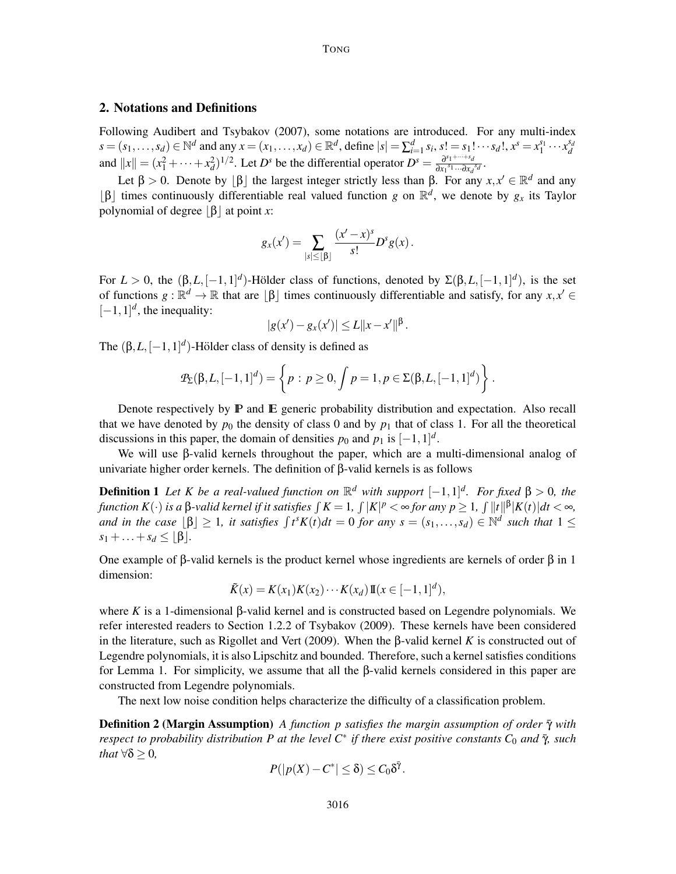# 2. Notations and Definitions

Following Audibert and Tsybakov (2007), some notations are introduced. For any multi-index  $s = (s_1, ..., s_d) \in \mathbb{N}^d$  and any  $x = (x_1, ..., x_d) \in \mathbb{R}^d$ , define  $|s| = \sum_{i=1}^d s_i$ ,  $s! = s_1! \cdots s_d!$ ,  $x^s = x_1^{s_1} \cdots x_d^{s_d}$ and  $||x|| = (x_1^2 + \cdots + x_d^2)^{1/2}$ . Let *D*<sup>*s*</sup> be the differential operator  $D^s = \frac{\partial^{s_1 + \cdots + s_d}}{\partial x_1^{s_1} \cdots \partial x_d}$  $\frac{\partial^{s_1 + s_d}}{\partial x_1^{s_1} \cdots \partial x_d^{s_d}}$ .

Let  $\beta > 0$ . Denote by  $[\beta]$  the largest integer strictly less than  $\beta$ . For any  $x, x' \in \mathbb{R}^d$  and any [β] times continuously differentiable real valued function *g* on  $\mathbb{R}^d$ , we denote by *g<sub>x</sub>* its Taylor polynomial of degree  $|\beta|$  at point *x*:

$$
g_x(x') = \sum_{|s| \leq \lfloor \beta \rfloor} \frac{(x'-x)^s}{s!} D^s g(x) .
$$

For  $L > 0$ , the  $(\beta, L, [-1, 1]^d)$ -Hölder class of functions, denoted by  $\Sigma(\beta, L, [-1, 1]^d)$ , is the set of functions  $g : \mathbb{R}^d \to \mathbb{R}$  that are  $\lfloor \beta \rfloor$  times continuously differentiable and satisfy, for any  $x, x' \in \mathbb{R}$  $[-1, 1]^d$ , the inequality:

$$
|g(x') - g_x(x')| \le L \|x - x'\|^{\beta}.
$$

The  $(\beta, L, [-1, 1]^d)$ -Hölder class of density is defined as

$$
\mathcal{P}_{\Sigma}(\beta, L, [-1, 1]^d) = \left\{ p : p \ge 0, \int p = 1, p \in \Sigma(\beta, L, [-1, 1]^d) \right\}.
$$

Denote respectively by  $\mathbb P$  and  $\mathbb E$  generic probability distribution and expectation. Also recall that we have denoted by  $p_0$  the density of class 0 and by  $p_1$  that of class 1. For all the theoretical discussions in this paper, the domain of densities  $p_0$  and  $p_1$  is  $[-1,1]^d$ .

We will use β-valid kernels throughout the paper, which are a multi-dimensional analog of univariate higher order kernels. The definition of β-valid kernels is as follows

**Definition 1** Let K be a real-valued function on  $\mathbb{R}^d$  with support  $[-1,1]^d$ . For fixed  $\beta > 0$ , the  $f$ unction  $K(\cdot)$  is a  $\beta$ -valid kernel if it satisfies  $\int K = 1$ ,  $\int |K|^p < \infty$  for any  $p \ge 1$ ,  $\int ||t||^{\beta} |K(t)| dt < \infty$ , *and in the case*  $\lfloor \beta \rfloor \geq 1$ , *it satisfies*  $\int t^s K(t) dt = 0$  *for any*  $s = (s_1, \ldots, s_d) \in \mathbb{N}^d$  *such that*  $1 \leq$  $s_1 + \ldots + s_d \leq |\beta|$ .

One example of β-valid kernels is the product kernel whose ingredients are kernels of order β in 1 dimension:

$$
\tilde{K}(x) = K(x_1)K(x_2)\cdots K(x_d) \mathbb{I}(x \in [-1,1]^d),
$$

where *K* is a 1-dimensional β-valid kernel and is constructed based on Legendre polynomials. We refer interested readers to Section 1.2.2 of Tsybakov (2009). These kernels have been considered in the literature, such as Rigollet and Vert (2009). When the β-valid kernel *K* is constructed out of Legendre polynomials, it is also Lipschitz and bounded. Therefore, such a kernel satisfies conditions for Lemma 1. For simplicity, we assume that all the β-valid kernels considered in this paper are constructed from Legendre polynomials.

The next low noise condition helps characterize the difficulty of a classification problem.

**Definition 2 (Margin Assumption)** *A function p satisfies the margin assumption of order*  $\bar{\gamma}$  *with respect to probability distribution P at the level C<sup>\*</sup> if there exist positive constants C<sub>0</sub> and*  $\bar{\gamma}$ *, such that*  $\forall \delta > 0$ *,* 

$$
P(|p(X) - C^*| \leq \delta) \leq C_0 \delta^{\bar{\gamma}}.
$$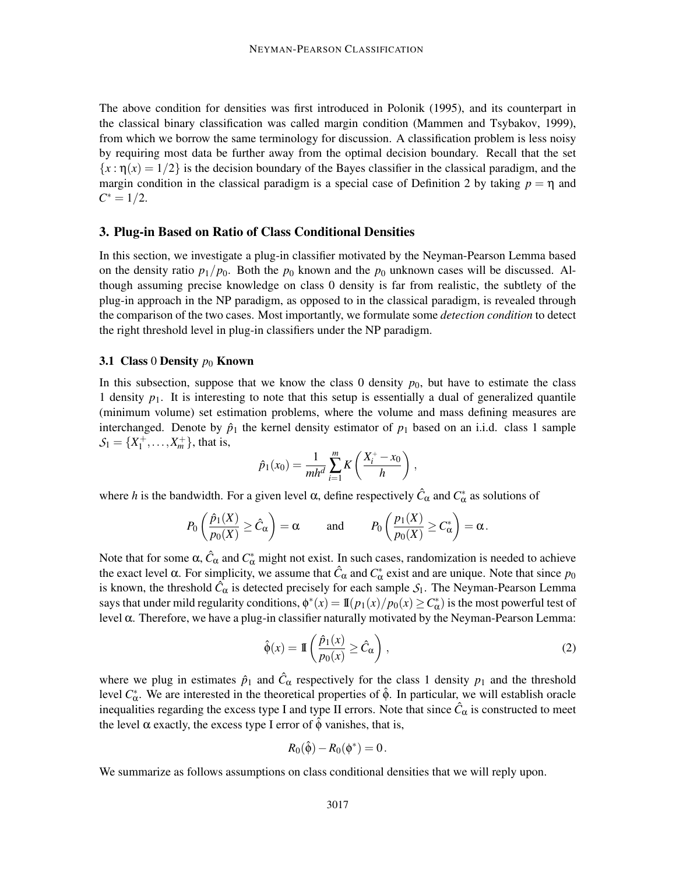The above condition for densities was first introduced in Polonik (1995), and its counterpart in the classical binary classification was called margin condition (Mammen and Tsybakov, 1999), from which we borrow the same terminology for discussion. A classification problem is less noisy by requiring most data be further away from the optimal decision boundary. Recall that the set  ${x : \eta(x) = 1/2}$  is the decision boundary of the Bayes classifier in the classical paradigm, and the margin condition in the classical paradigm is a special case of Definition 2 by taking  $p = \eta$  and  $C^* = 1/2.$ 

## 3. Plug-in Based on Ratio of Class Conditional Densities

In this section, we investigate a plug-in classifier motivated by the Neyman-Pearson Lemma based on the density ratio  $p_1/p_0$ . Both the  $p_0$  known and the  $p_0$  unknown cases will be discussed. Although assuming precise knowledge on class 0 density is far from realistic, the subtlety of the plug-in approach in the NP paradigm, as opposed to in the classical paradigm, is revealed through the comparison of the two cases. Most importantly, we formulate some *detection condition* to detect the right threshold level in plug-in classifiers under the NP paradigm.

#### 3.1 Class 0 Density  $p_0$  Known

In this subsection, suppose that we know the class 0 density  $p_0$ , but have to estimate the class 1 density  $p_1$ . It is interesting to note that this setup is essentially a dual of generalized quantile (minimum volume) set estimation problems, where the volume and mass defining measures are interchanged. Denote by  $\hat{p}_1$  the kernel density estimator of  $p_1$  based on an i.i.d. class 1 sample  $S_1 = \{X_1^+, \ldots, X_m^+\}$ , that is,

$$
\hat{p}_1(x_0) = \frac{1}{mh^d} \sum_{i=1}^m K\left(\frac{X_i^+ - x_0}{h}\right),
$$

where *h* is the bandwidth. For a given level  $\alpha$ , define respectively  $\hat{C}_{\alpha}$  and  $C_{\alpha}^*$  as solutions of

$$
P_0\left(\frac{\hat{p}_1(X)}{p_0(X)} \ge \hat{C}_\alpha\right) = \alpha
$$
 and  $P_0\left(\frac{p_1(X)}{p_0(X)} \ge C_\alpha^*\right) = \alpha$ .

Note that for some  $\alpha$ ,  $\hat{C}_{\alpha}$  and  $C_{\alpha}^*$  might not exist. In such cases, randomization is needed to achieve the exact level  $\alpha$ . For simplicity, we assume that  $\hat{C}_{\alpha}$  and  $C_{\alpha}^*$  exist and are unique. Note that since  $p_0$ is known, the threshold  $\hat{C}_{\alpha}$  is detected precisely for each sample  $S_1$ . The Neyman-Pearson Lemma says that under mild regularity conditions,  $\phi^*(x) = 1\hspace{-.1em}1(p_1(x)/p_0(x) \ge C^*_{\alpha})$  is the most powerful test of level α. Therefore, we have a plug-in classifier naturally motivated by the Neyman-Pearson Lemma:

$$
\hat{\phi}(x) = \mathbb{I}\left(\frac{\hat{p}_1(x)}{p_0(x)} \ge \hat{C}_{\alpha}\right),\tag{2}
$$

where we plug in estimates  $\hat{p}_1$  and  $\hat{C}_{\alpha}$  respectively for the class 1 density  $p_1$  and the threshold level  $C^*_{\alpha}$ . We are interested in the theoretical properties of φ<sup> $\hat{\phi}$ </sup>. In particular, we will establish oracle inequalities regarding the excess type I and type II errors. Note that since  $\hat{C}_\alpha$  is constructed to meet the level  $\alpha$  exactly, the excess type I error of  $\hat{\phi}$  vanishes, that is,

$$
R_0(\hat{\phi}) - R_0(\phi^*) = 0.
$$

We summarize as follows assumptions on class conditional densities that we will reply upon.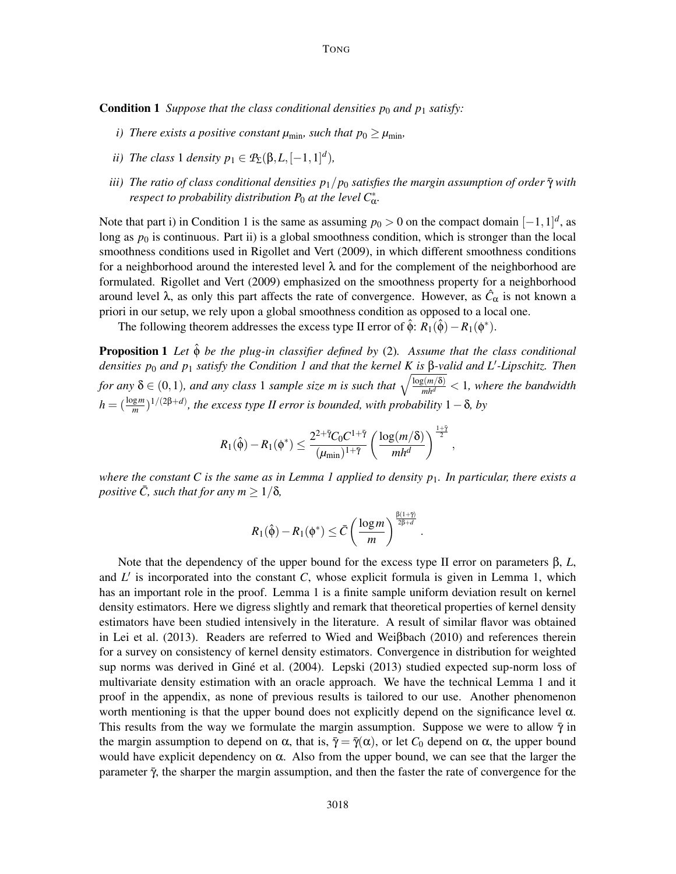**Condition 1** *Suppose that the class conditional densities p<sub>0</sub> and p<sub>1</sub> satisfy:* 

- *i)* There exists a positive constant  $\mu_{\min}$ , such that  $p_0 \ge \mu_{\min}$ ,
- *ii)* The class 1 density  $p_1 \in P_{\Sigma}(\beta, L, [-1, 1]^d)$ ,
- *iii) The ratio of class conditional densities*  $p_1/p_0$  *satisfies the margin assumption of order*  $\bar{\gamma}$  *with respect to probability distribution*  $P_0$  *at the level*  $C^*_\alpha$ *.*

Note that part i) in Condition 1 is the same as assuming  $p_0 > 0$  on the compact domain  $[-1,1]^d$ , as long as  $p_0$  is continuous. Part ii) is a global smoothness condition, which is stronger than the local smoothness conditions used in Rigollet and Vert (2009), in which different smoothness conditions for a neighborhood around the interested level  $\lambda$  and for the complement of the neighborhood are formulated. Rigollet and Vert (2009) emphasized on the smoothness property for a neighborhood around level  $\lambda$ , as only this part affects the rate of convergence. However, as  $\hat{C}_{\alpha}$  is not known a priori in our setup, we rely upon a global smoothness condition as opposed to a local one.

The following theorem addresses the excess type II error of  $\hat{\phi}$ :  $R_1(\hat{\phi}) - R_1(\phi^*)$ .

Proposition 1 *Let* φˆ *be the plug-in classifier defined by* (2)*. Assume that the class conditional densities p*<sup>0</sup> *and p*<sup>1</sup> *satisfy the Condition 1 and that the kernel K is* β*-valid and L*′ *-Lipschitz. Then for any*  $\delta \in (0,1)$ *, and any class* 1 *sample size m is such that*  $\sqrt{\frac{\log(m/\delta)}{m h^d}} < 1$ *, where the bandwidth*  $h = (\frac{\log m}{m})^{1/(2\beta+d)}$ , the excess type II error is bounded, with probability 1 –  $\delta$ , by

$$
R_1(\hat{\phi}) - R_1(\phi^*) \leq \frac{2^{2+\bar{\gamma}}C_0C^{1+\bar{\gamma}}}{(\mu_{\min})^{1+\bar{\gamma}}} \left(\frac{\log(m/\delta)}{mh^d}\right)^{\frac{1+\bar{\gamma}}{2}},
$$

*where the constant C is the same as in Lemma 1 applied to density p*1*. In particular, there exists a positive*  $\overline{C}$ *, such that for any*  $m \geq 1/\delta$ *,* 

$$
R_1(\hat{\phi}) - R_1(\phi^*) \leq \bar{C} \left( \frac{\log m}{m} \right)^{\frac{\beta(1+\tilde{\gamma})}{2\beta+d}}.
$$

Note that the dependency of the upper bound for the excess type II error on parameters β, *L*, and L' is incorporated into the constant C, whose explicit formula is given in Lemma 1, which has an important role in the proof. Lemma 1 is a finite sample uniform deviation result on kernel density estimators. Here we digress slightly and remark that theoretical properties of kernel density estimators have been studied intensively in the literature. A result of similar flavor was obtained in Lei et al. (2013). Readers are referred to Wied and Weiβbach (2010) and references therein for a survey on consistency of kernel density estimators. Convergence in distribution for weighted sup norms was derived in Giné et al. (2004). Lepski (2013) studied expected sup-norm loss of multivariate density estimation with an oracle approach. We have the technical Lemma 1 and it proof in the appendix, as none of previous results is tailored to our use. Another phenomenon worth mentioning is that the upper bound does not explicitly depend on the significance level  $\alpha$ . This results from the way we formulate the margin assumption. Suppose we were to allow  $\bar{\gamma}$  in the margin assumption to depend on  $\alpha$ , that is,  $\bar{\gamma} = \bar{\gamma}(\alpha)$ , or let  $C_0$  depend on  $\alpha$ , the upper bound would have explicit dependency on  $\alpha$ . Also from the upper bound, we can see that the larger the parameter  $\bar{\gamma}$ , the sharper the margin assumption, and then the faster the rate of convergence for the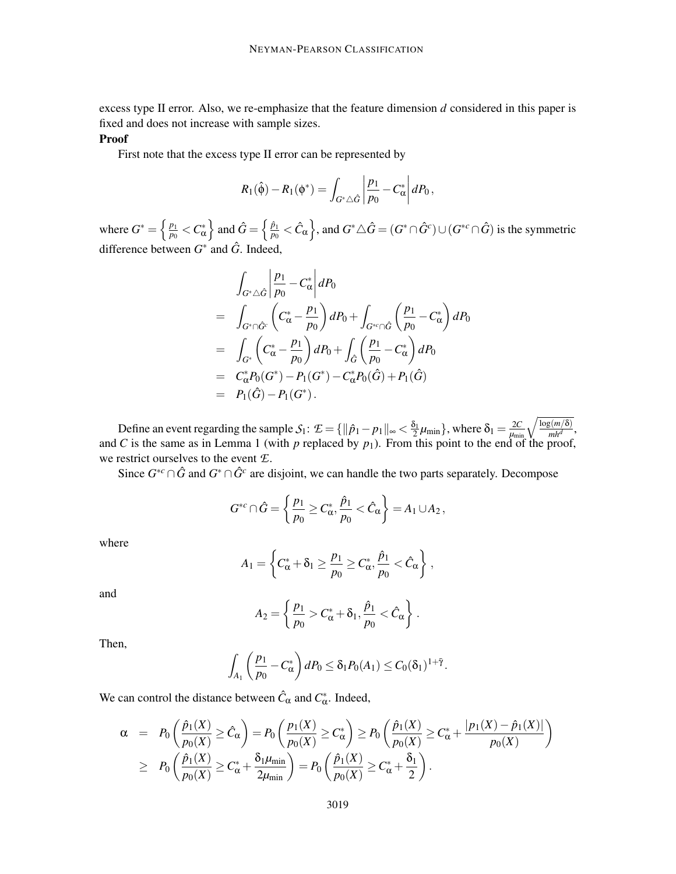excess type II error. Also, we re-emphasize that the feature dimension *d* considered in this paper is fixed and does not increase with sample sizes.

## Proof

First note that the excess type II error can be represented by

$$
R_1(\hat{\phi}) - R_1(\phi^*) = \int_{G^*\triangle \hat{G}} \left| \frac{p_1}{p_0} - C^*_{\alpha} \right| dP_0,
$$

where  $G^* = \left\{\frac{p_1}{p_0}\right\}$  $\left\{\frac{p_1}{p_0} < C_\alpha^*\right\}$  and  $\hat{G} = \left\{\frac{\hat{p}_1}{p_0}\right\}$  $\frac{\hat{p}_1}{p_0} < \hat{C}_\alpha \biggr\},$  and  $G^*\triangle \hat{G} = (G^*\cap \hat{G}^c) \cup (G^{*c}\cap \hat{G})$  is the symmetric difference between  $G^*$  and  $\hat{G}$ . Indeed,

$$
\int_{G^*\triangle \hat{G}} \left| \frac{p_1}{p_0} - C^*_{\alpha} \right| dP_0
$$
\n
$$
= \int_{G^*\cap \hat{G}^c} \left( C^*_{\alpha} - \frac{p_1}{p_0} \right) dP_0 + \int_{G^{*c} \cap \hat{G}} \left( \frac{p_1}{p_0} - C^*_{\alpha} \right) dP_0
$$
\n
$$
= \int_{G^*} \left( C^*_{\alpha} - \frac{p_1}{p_0} \right) dP_0 + \int_{\hat{G}} \left( \frac{p_1}{p_0} - C^*_{\alpha} \right) dP_0
$$
\n
$$
= C^*_{\alpha} P_0(G^*) - P_1(G^*) - C^*_{\alpha} P_0(\hat{G}) + P_1(\hat{G})
$$
\n
$$
= P_1(\hat{G}) - P_1(G^*).
$$

Define an event regarding the sample  $S_1$ :  $\mathcal{I} = \{ ||\hat{p}_1 - p_1||_{\infty} < \frac{\delta_1}{2} \mu_{\min} \}$ , where  $\delta_1 = \frac{2C}{\mu_{\min}} \sqrt{\frac{\log(m/\delta)}{m h^d}}$ , and *C* is the same as in Lemma 1 (with  $p$  replaced by  $p_1$ ). From this point to the end of the proof, we restrict ourselves to the event *E*.

Since  $G^{*c} \cap \hat{G}$  and  $G^* \cap \hat{G}^c$  are disjoint, we can handle the two parts separately. Decompose

$$
G^{*c}\cap \hat{G}=\left\{\frac{p_1}{p_0}\geq C^*_{\alpha}, \frac{\hat{p}_1}{p_0}<\hat{C}_{\alpha}\right\}=A_1\cup A_2,
$$

where

$$
A_1 = \left\{ C_\alpha^* + \delta_1 \ge \frac{p_1}{p_0} \ge C_\alpha^*, \frac{\hat{p}_1}{p_0} < \hat{C}_\alpha \right\},\,
$$

and

$$
A_2 = \left\{ \frac{p_1}{p_0} > C^*_{\alpha} + \delta_1, \frac{\hat{p}_1}{p_0} < \hat{C}_{\alpha} \right\}.
$$

Then,

$$
\int_{A_1}\left(\frac{p_1}{p_0}-C_{\alpha}^*\right)dP_0\leq \delta_1P_0(A_1)\leq C_0(\delta_1)^{1+\bar{\gamma}}.
$$

We can control the distance between  $\hat{C}_{\alpha}$  and  $C_{\alpha}^*$ . Indeed,

$$
\alpha = P_0\left(\frac{\hat{p}_1(X)}{p_0(X)} \ge \hat{C}_\alpha\right) = P_0\left(\frac{p_1(X)}{p_0(X)} \ge C_\alpha^*\right) \ge P_0\left(\frac{\hat{p}_1(X)}{p_0(X)} \ge C_\alpha^* + \frac{|p_1(X) - \hat{p}_1(X)|}{p_0(X)}\right)
$$
  

$$
\ge P_0\left(\frac{\hat{p}_1(X)}{p_0(X)} \ge C_\alpha^* + \frac{\delta_1\mu_{\min}}{2\mu_{\min}}\right) = P_0\left(\frac{\hat{p}_1(X)}{p_0(X)} \ge C_\alpha^* + \frac{\delta_1}{2}\right).
$$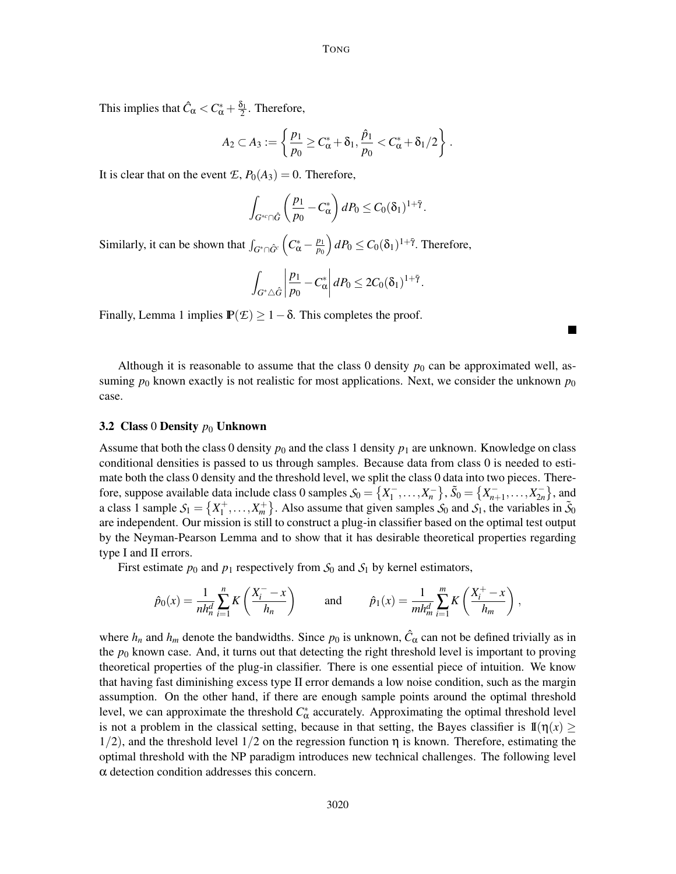This implies that  $\hat{C}_{\alpha} < C_{\alpha}^* + \frac{\delta_1}{2}$ . Therefore,

$$
A_2\subset A_3:=\left\{\frac{p_1}{p_0}\geq C_{\alpha}^*+\delta_1,\frac{\hat{p}_1}{p_0}
$$

It is clear that on the event  $\mathcal{E}, P_0(A_3) = 0$ . Therefore,

$$
\int_{G^{*c}\cap\hat{G}}\left(\frac{p_1}{p_0}-C_{\alpha}^*\right)dP_0\leq C_0(\delta_1)^{1+\tilde{\gamma}}.
$$

Similarly, it can be shown that  $\int_{G^* \cap \hat{G}^c} \left( C^*_{\alpha} - \frac{p_1}{p_0} \right)$  $\left(\frac{p_1}{p_0}\right)dP_0 \leq C_0(\delta_1)^{1+\bar{\gamma}}$ . Therefore,

$$
\int_{G^*\triangle \hat{G}} \left| \frac{p_1}{p_0} - C^*_\alpha \right| dP_0 \leq 2C_0(\delta_1)^{1+\tilde{\gamma}}.
$$

Finally, Lemma 1 implies  $\mathbb{P}(\mathcal{E}) \geq 1 - \delta$ . This completes the proof.

Although it is reasonable to assume that the class 0 density  $p_0$  can be approximated well, assuming  $p_0$  known exactly is not realistic for most applications. Next, we consider the unknown  $p_0$ case.

#### 3.2 Class 0 Density  $p_0$  Unknown

Assume that both the class 0 density  $p_0$  and the class 1 density  $p_1$  are unknown. Knowledge on class conditional densities is passed to us through samples. Because data from class 0 is needed to estimate both the class 0 density and the threshold level, we split the class 0 data into two pieces. Therefore, suppose available data include class 0 samples  $S_0 = \{X_1^-, ..., X_n^-\}$ ,  $\tilde{S}_0 = \{X_{n+1}^-, ..., X_{2n}^-\}$ , and a class 1 sample  $S_1 = \{X_1^+, \ldots, X_m^+\}$ . Also assume that given samples  $S_0$  and  $S_1$ , the variables in  $\tilde{S}_0$ are independent. Our mission is still to construct a plug-in classifier based on the optimal test output by the Neyman-Pearson Lemma and to show that it has desirable theoretical properties regarding type I and II errors.

First estimate  $p_0$  and  $p_1$  respectively from  $S_0$  and  $S_1$  by kernel estimators,

$$
\hat{p}_0(x) = \frac{1}{nh_n^d} \sum_{i=1}^n K\left(\frac{X_i^- - x}{h_n}\right) \quad \text{and} \quad \hat{p}_1(x) = \frac{1}{mh_m^d} \sum_{i=1}^m K\left(\frac{X_i^+ - x}{h_m}\right),
$$

where  $h_n$  and  $h_m$  denote the bandwidths. Since  $p_0$  is unknown,  $\hat{C}_{\alpha}$  can not be defined trivially as in the  $p_0$  known case. And, it turns out that detecting the right threshold level is important to proving theoretical properties of the plug-in classifier. There is one essential piece of intuition. We know that having fast diminishing excess type II error demands a low noise condition, such as the margin assumption. On the other hand, if there are enough sample points around the optimal threshold level, we can approximate the threshold  $C^*_{\alpha}$  accurately. Approximating the optimal threshold level is not a problem in the classical setting, because in that setting, the Bayes classifier is  $\mathbb{I}(\eta(x) \geq 0)$  $1/2$ , and the threshold level  $1/2$  on the regression function  $\eta$  is known. Therefore, estimating the optimal threshold with the NP paradigm introduces new technical challenges. The following level α detection condition addresses this concern.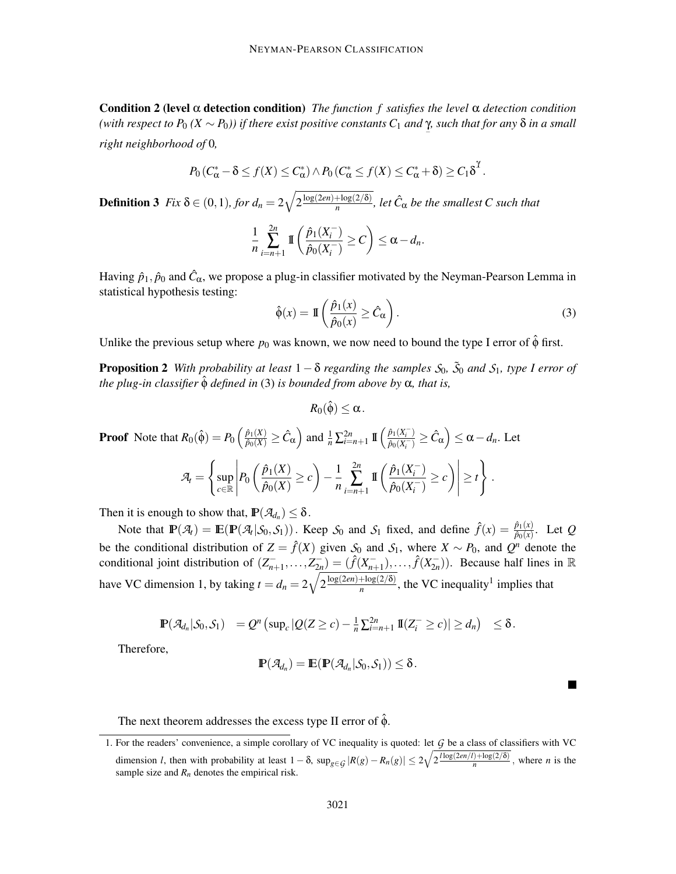Condition 2 (level α detection condition) *The function f satisfies the level* α *detection condition (with respect to P*<sup>0</sup> *(X* ∼ *P*0*)) if there exist positive constants C*<sup>1</sup> *and* γ *, such that for any* δ *in a small* − *right neighborhood of* 0*,*

$$
P_0(C^*_{\alpha}-\delta\leq f(X)\leq C^*_{\alpha})\wedge P_0(C^*_{\alpha}\leq f(X)\leq C^*_{\alpha}+\delta)\geq C_1\delta^{\gamma}.
$$

**Definition 3**  $Fix \delta \in (0,1)$ , for  $d_n = 2\sqrt{2\frac{\log(2en) + \log(2/\delta)}{n}}$  $\frac{(\ln \log(2/\delta)}{n}$ , let  $\hat{C}_{\alpha}$  be the smallest C such that

$$
\frac{1}{n}\sum_{i=n+1}^{2n} \mathbb{I}\left(\frac{\hat{p}_1(X_i^-)}{\hat{p}_0(X_i^-)} \ge C\right) \le \alpha - d_n.
$$

Having  $\hat{p}_1, \hat{p}_0$  and  $\hat{C}_{\alpha}$ , we propose a plug-in classifier motivated by the Neyman-Pearson Lemma in statistical hypothesis testing:

$$
\hat{\phi}(x) = \mathbb{I}\left(\frac{\hat{p}_1(x)}{\hat{p}_0(x)} \ge \hat{C}_\alpha\right). \tag{3}
$$

Unlike the previous setup where  $p_0$  was known, we now need to bound the type I error of  $\hat{\phi}$  first.

**Proposition 2** With probability at least  $1 - \delta$  regarding the samples  $S_0$ ,  $\tilde{S}_0$  and  $S_1$ , type I error of *the plug-in classifier* φˆ *defined in* (3) *is bounded from above by* α*, that is,*

 $R_0(\hat{\phi}) < \alpha$ .

**Proof** Note that  $R_0(\hat{\phi}) = P_0\left(\frac{\hat{p}_1(X)}{\hat{p}_0(X)} \ge \hat{C}_{\alpha}\right)$  and  $\frac{1}{n}\sum_{i=n+1}^{2n} \mathbb{I}\left(\frac{\hat{p}_1(X_i^-)}{\hat{p}_0(X_i^-)}\right)$  $\frac{\hat{p}_1(X_i^-)}{\hat{p}_0(X_i^-)} \geq \hat{C}_{\alpha}\right) \leq \alpha - d_n$ . Let  $\mathcal{A}_t =$  $\int$ sup *<sup>c</sup>*∈<sup>R</sup>  $P_0\left(\frac{\hat{p}_1(X)}{\hat{p}_1(X)}\right)$  $\frac{\hat{p}_1(X)}{\hat{p}_0(X)} \geq c$ − 1 *n*  $\sum_{i=n+1}^{2n}$  $\mathbb{I}\left(\frac{\hat{p}_1(X_i^-)}{\hat{p}_1(X_i^-)}\right)$  $\frac{\hat{p}_1(x_i)}{\hat{p}_0(X_i^-)} \geq c$  $\Bigg) \Bigg|$  $\geq t$  $\mathcal{L}$ .

Then it is enough to show that,  $\mathbf{P}(\mathcal{A}_{d_n}) \leq \delta$ .

Note that  $\mathbb{P}(\mathcal{A}_t) = \mathbb{E}(\mathbb{P}(\mathcal{A}_t | \mathcal{S}_0, \mathcal{S}_1))$ . Keep  $\mathcal{S}_0$  and  $\mathcal{S}_1$  fixed, and define  $\hat{f}(x) = \frac{\hat{p}_1(x)}{\hat{p}_0(x)}$ . Let *Q* be the conditional distribution of  $Z = \hat{f}(X)$  given  $S_0$  and  $S_1$ , where  $X \sim P_0$ , and  $Q^n$  denote the conditional joint distribution of  $(Z_{n+1}^-, \ldots, Z_{2n}^-) = (\hat{f}(X_{n+1}^-), \ldots, \hat{f}(X_{2n}^-))$ . Because half lines in R have VC dimension 1, by taking  $t = d_n = 2\sqrt{2\frac{\log(2en) + \log(2/\delta)}{n}}$  $\frac{1-\log(2/\delta)}{n}$ , the VC inequality<sup>1</sup> implies that

$$
\mathbb{P}(\mathcal{A}_{d_n}|\mathcal{S}_0,\mathcal{S}_1) = Q^n \left(\sup_c |Q(Z \geq c) - \frac{1}{n}\sum_{i=n+1}^{2n} \mathbb{I}(Z_i^{-} \geq c)| \geq d_n\right) \leq \delta.
$$

Therefore,

$$
\mathbb{P}(\mathcal{A}_{d_n})=\mathbb{E}(\mathbb{P}(\mathcal{A}_{d_n}|S_0,S_1))\leq \delta.
$$

The next theorem addresses the excess type II error of  $\hat{\phi}$ .

<sup>1.</sup> For the readers' convenience, a simple corollary of VC inequality is quoted: let *G* be a class of classifiers with VC dimension *l*, then with probability at least  $1 - \delta$ ,  $\sup_{g \in \mathcal{G}} |R(g) - R_n(g)| \leq 2\sqrt{2\frac{\log(2\epsilon n/l) + \log(2/\delta)}{n}}$ , where *n* is the sample size and  $R_n$  denotes the empirical risk.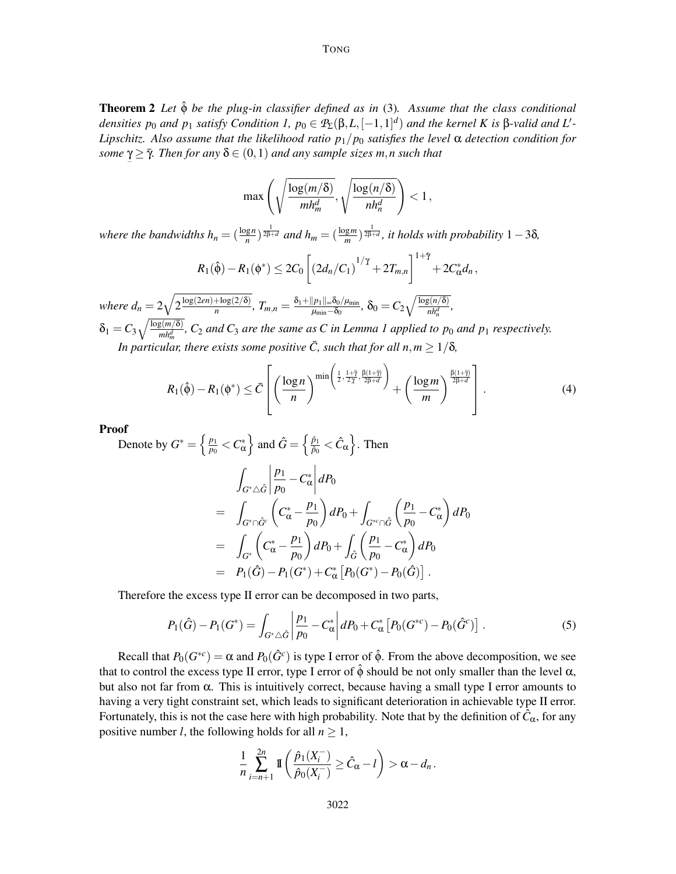Theorem 2 *Let* φˆ *be the plug-in classifier defined as in* (3)*. Assume that the class conditional densities*  $p_0$  *and*  $p_1$  *satisfy Condition 1,*  $p_0 \in \mathcal{P}_\Sigma(\beta, L, [-1, 1]^d)$  *and the kernel K is* β-valid *and*  $L'$ -*Lipschitz. Also assume that the likelihood ratio*  $p_1/p_0$  *satisfies the level*  $\alpha$  *detection condition for <i>. Then for any*  $δ ∈ (0,1)$  *and any sample sizes m,n such that* 

$$
\max\left(\sqrt{\frac{\log(m/\delta)}{mh_m^d}}, \sqrt{\frac{\log(n/\delta)}{nh_n^d}}\right) < 1\,,
$$

*where the bandwidths*  $h_n = (\frac{\log n}{n})^{\frac{1}{2\beta+d}}$  *and*  $h_m = (\frac{\log m}{m})^{\frac{1}{2\beta+d}}$ , *it holds with probability* 1 – 3δ*,* 

$$
R_1(\hat{\phi}) - R_1(\phi^*) \leq 2C_0 \left[ \left( 2d_n/C_1 \right)^{1/\gamma} + 2T_{m,n} \right]^{1+\bar{\gamma}} + 2C_{\alpha}^* d_n,
$$

*where*  $d_n = 2\sqrt{2\frac{\log(2en) + \log(2/\delta)}{n}}$  $\frac{1+\log(2/\delta)}{n}$ ,  $T_{m,n}=\frac{\delta_1+\Vert p_1\Vert_{\infty}\delta_0/\mu_{\min}}{\mu_{\min}-\delta_0}$  $\frac{|\overline{p}_1||_{\infty}\delta_0/\mu_{\min}}{\mu_{\min}-\delta_0}, \ \delta_0 = C_2\sqrt{\frac{\log(n/\delta)}{nh_n^d}},$  $\delta_1 = C_3 \sqrt{\frac{\log(m/\delta)}{m h_m^d}}$ ,  $C_2$  *and*  $C_3$  *are the same as* C *in Lemma 1 applied to p*<sub>0</sub> *and*  $p_1$  *respectively.* 

*In particular, there exists some positive*  $\overline{C}$ *, such that for all n,m*  $\geq 1/\delta$ *,* 

$$
R_1(\hat{\phi}) - R_1(\phi^*) \leq \bar{C} \left[ \left( \frac{\log n}{n} \right)^{\min \left( \frac{1}{2}, \frac{1+\tilde{\gamma}}{2\tilde{\gamma}}, \frac{\beta(1+\tilde{\gamma})}{2\beta+d} \right)} + \left( \frac{\log m}{m} \right)^{\frac{\beta(1+\tilde{\gamma})}{2\beta+d}} \right]. \tag{4}
$$

Proof

−

Denote by  $G^* = \left\{\frac{p_1}{p_0}\right\}$  $\left\{\frac{p_1}{p_0} < C^*_\alpha\right\}$  and  $\hat{G} = \left\{\frac{\hat{p}_1}{\hat{p}_0}\right\}$  $\frac{\hat{p}_1}{\hat{p}_0} < \hat{C}_{\alpha} \Big\}$ . Then Z *<sup>G</sup>*∗△*G*<sup>ˆ</sup>  $\begin{array}{c} \begin{array}{c} \begin{array}{c} \begin{array}{c} \end{array} \\ \end{array} \\ \begin{array}{c} \end{array} \end{array} \end{array}$ *p*1  $\frac{P}{p_0}$  –  $C^*_{\alpha}$  $\begin{array}{c} \begin{array}{c} \begin{array}{c} \begin{array}{c} \end{array}\\ \end{array} \end{array} \end{array}$ *dP*<sup>0</sup>  $=$   $\sqrt{ }$  $G^* \cap \hat{G}^c$  $\Big( C^*_{\alpha}$ *p*1 *p*0  $\bigg) dP_0 + \bigg)$ *<sup>G</sup>*∗*c*∩*G*<sup>ˆ</sup>  $\int p_1$  $\frac{P}{p_0} - C^*_{\alpha}$  $=$   $\sqrt{ }$ *G*∗  $\Big( C^*_{\alpha}$ *p*1 *p*0  $\bigg\}$  *dP*<sub>0</sub> +  $\bigg\}$ *G*ˆ  $\int p_1$  $\frac{P}{p_0}$  –  $C^*_{\alpha}$  $\bigg)$   $dP_0$  $= P_1(\hat{G}) - P_1(G^*) + C^*_{\alpha} [P_0(G^*) - P_0(\hat{G})].$ 

Therefore the excess type II error can be decomposed in two parts,

$$
P_1(\hat{G}) - P_1(G^*) = \int_{G^* \triangle \hat{G}} \left| \frac{p_1}{p_0} - C^*_{\alpha} \right| dP_0 + C^*_{\alpha} \left[ P_0(G^{*c}) - P_0(\hat{G}^c) \right]. \tag{5}
$$

 $\bigg)$   $dP_0$ 

Recall that  $P_0(G^{*c}) = \alpha$  and  $P_0(\hat{G}^c)$  is type I error of  $\hat{\phi}$ . From the above decomposition, we see that to control the excess type II error, type I error of  $\hat{\phi}$  should be not only smaller than the level  $\alpha$ , but also not far from  $\alpha$ . This is intuitively correct, because having a small type I error amounts to having a very tight constraint set, which leads to significant deterioration in achievable type II error. Fortunately, this is not the case here with high probability. Note that by the definition of  $\hat{C}_{\alpha}$ , for any positive number *l*, the following holds for all  $n \geq 1$ ,

$$
\frac{1}{n}\sum_{i=n+1}^{2n} \mathbb{I}\left(\frac{\hat{p}_1(X_i^-)}{\hat{p}_0(X_i^-)}\geq \hat{C}_{\alpha}-l\right) > \alpha - d_n.
$$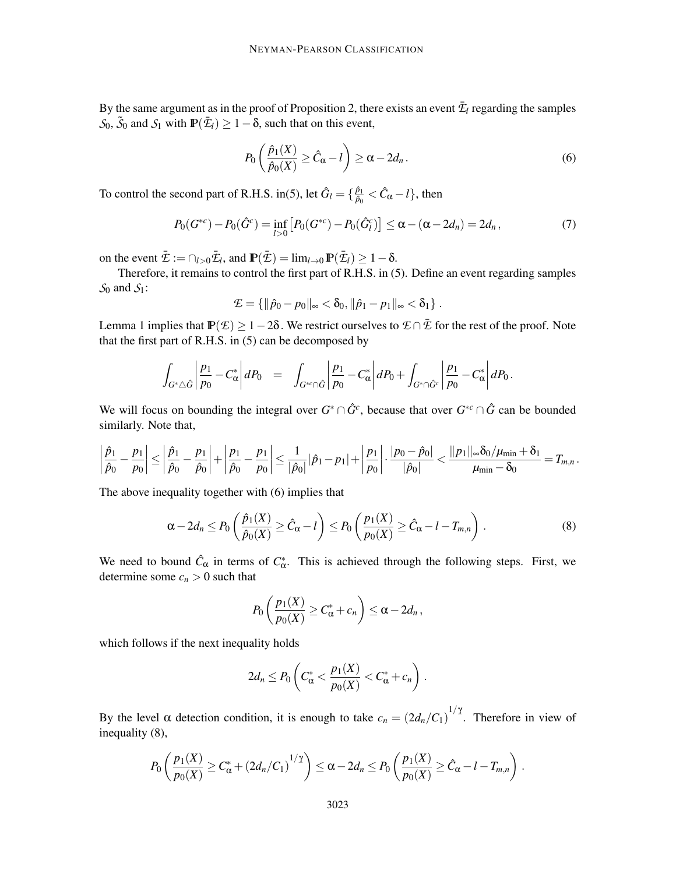By the same argument as in the proof of Proposition 2, there exists an event  $\bar{\mathcal{I}}_l$  regarding the samples  $S_0$ ,  $\tilde{S}_0$  and  $S_1$  with  $\mathbb{P}(\bar{\mathcal{E}}_l) \geq 1 - \delta$ , such that on this event,

$$
P_0\left(\frac{\hat{p}_1(X)}{\hat{p}_0(X)} \ge \hat{C}_{\alpha} - l\right) \ge \alpha - 2d_n. \tag{6}
$$

To control the second part of R.H.S. in(5), let  $\hat{G}_l = \{\frac{\hat{p}_l}{\hat{p}_0}$  $\frac{\hat{p}_1}{\hat{p}_0} < \hat{C}_{\alpha} - l$ }, then

$$
P_0(G^{*c}) - P_0(\hat{G}^c) = \inf_{l>0} \left[ P_0(G^{*c}) - P_0(\hat{G}^c_l) \right] \le \alpha - (\alpha - 2d_n) = 2d_n, \tag{7}
$$

on the event  $\bar{\mathcal{E}} := \bigcap_{l>0} \bar{\mathcal{E}}_l$ , and  $\mathbb{P}(\bar{\mathcal{E}}) = \lim_{l \to 0} \mathbb{P}(\bar{\mathcal{E}}_l) \geq 1 - \delta$ .

Therefore, it remains to control the first part of R.H.S. in (5). Define an event regarding samples *S*<sup>0</sup> and *S*1:

$$
\mathcal{I} = \{ ||\hat{p}_0 - p_0||_{\infty} < \delta_0, ||\hat{p}_1 - p_1||_{\infty} < \delta_1 \}.
$$

Lemma 1 implies that  $\mathbb{P}(\mathcal{E}) \ge 1-2\delta$ . We restrict ourselves to  $\mathcal{E} \cap \bar{\mathcal{E}}$  for the rest of the proof. Note that the first part of R.H.S. in (5) can be decomposed by

$$
\int_{G^*\triangle \hat{G}} \left| \frac{p_1}{p_0} - C^*_{\alpha} \right| dP_0 = \int_{G^{*c}\cap \hat{G}} \left| \frac{p_1}{p_0} - C^*_{\alpha} \right| dP_0 + \int_{G^*\cap \hat{G}^c} \left| \frac{p_1}{p_0} - C^*_{\alpha} \right| dP_0.
$$

We will focus on bounding the integral over  $G^* \cap \hat{G}^c$ , because that over  $G^{*c} \cap \hat{G}$  can be bounded similarly. Note that,

$$
\left|\frac{\hat{p}_1}{\hat{p}_0}-\frac{p_1}{p_0}\right|\leq \left|\frac{\hat{p}_1}{\hat{p}_0}-\frac{p_1}{\hat{p}_0}\right|+\left|\frac{p_1}{\hat{p}_0}-\frac{p_1}{p_0}\right|\leq \frac{1}{|\hat{p}_0|}|\hat{p}_1-p_1|+\left|\frac{p_1}{p_0}\right|\cdot \frac{|p_0-\hat{p}_0|}{|\hat{p}_0|}<\frac{\|p_1\|_{\infty}\delta_0/\mu_{\min}+\delta_1}{\mu_{\min}-\delta_0}=T_{m,n}\,.
$$

The above inequality together with (6) implies that

$$
\alpha - 2d_n \le P_0\left(\frac{\hat{p}_1(X)}{\hat{p}_0(X)} \ge \hat{C}_\alpha - l\right) \le P_0\left(\frac{p_1(X)}{p_0(X)} \ge \hat{C}_\alpha - l - T_{m,n}\right). \tag{8}
$$

We need to bound  $\hat{C}_{\alpha}$  in terms of  $C_{\alpha}^*$ . This is achieved through the following steps. First, we determine some  $c_n > 0$  such that

$$
P_0\left(\frac{p_1(X)}{p_0(X)}\geq C_{\alpha}^*+c_n\right)\leq \alpha-2d_n,
$$

which follows if the next inequality holds

$$
2d_n \leq P_0 \left( C^*_{\alpha} < \frac{p_1(X)}{p_0(X)} < C^*_{\alpha} + c_n \right).
$$

By the level  $\alpha$  detection condition, it is enough to take  $c_n = (2d_n/C_1)^{1/\gamma}$ . Therefore in view of inequality (8),

$$
P_0\left(\frac{p_1(X)}{p_0(X)}\geq C^*_\alpha+\left(2d_n/C_1\right)^{1/\gamma}\right)\leq \alpha-2d_n\leq P_0\left(\frac{p_1(X)}{p_0(X)}\geq \hat{C}_\alpha-l-T_{m,n}\right).
$$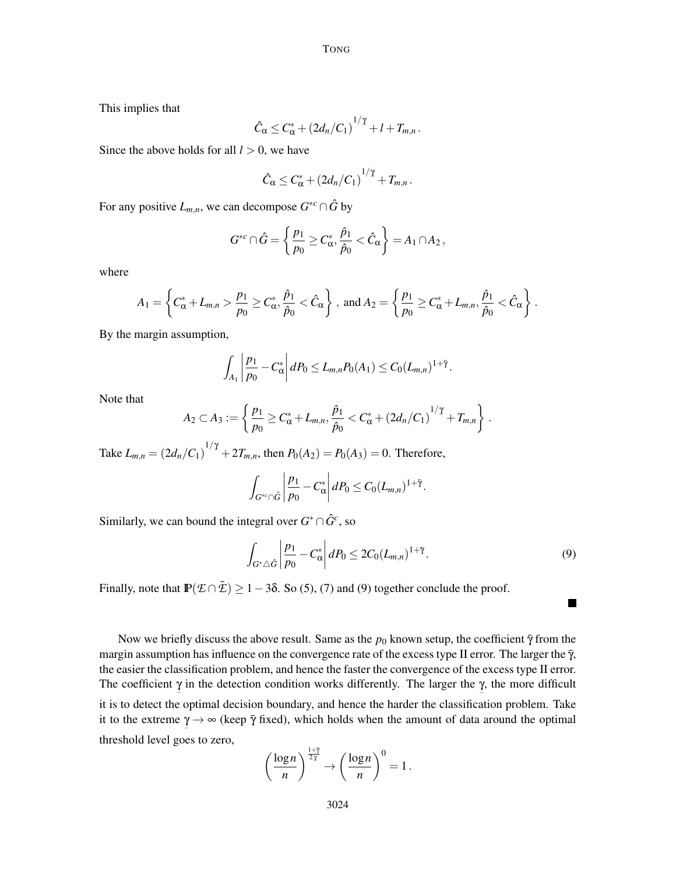This implies that

$$
\hat{C}_{\alpha} \leq C_{\alpha}^* + \left(2d_n/C_1\right)^{1/\gamma} + l + T_{m,n}.
$$

Since the above holds for all  $l > 0$ , we have

$$
\hat{C}_{\alpha} \leq C_{\alpha}^* + \left(2d_n/C_1\right)^{1/\gamma} + T_{m,n}.
$$

For any positive  $L_{m,n}$ , we can decompose  $G^{*c} \cap \hat{G}$  by

$$
G^{*c} \cap \hat{G} = \left\{ \frac{p_1}{p_0} \ge C^*_{\alpha}, \frac{\hat{p}_1}{\hat{p}_0} < \hat{C}_{\alpha} \right\} = A_1 \cap A_2,
$$

where

$$
A_1 = \left\{ C^*_{\alpha} + L_{m,n} > \frac{p_1}{p_0} \ge C^*_{\alpha}, \frac{\hat{p}_1}{\hat{p}_0} < \hat{C}_{\alpha} \right\}, \text{ and } A_2 = \left\{ \frac{p_1}{p_0} \ge C^*_{\alpha} + L_{m,n}, \frac{\hat{p}_1}{\hat{p}_0} < \hat{C}_{\alpha} \right\}.
$$

By the margin assumption,

$$
\int_{A_1} \left| \frac{p_1}{p_0} - C_{\alpha}^* \right| dP_0 \leq L_{m,n} P_0(A_1) \leq C_0 (L_{m,n})^{1+\bar{\gamma}}.
$$

Note that

$$
A_2 \subset A_3 := \left\{ \frac{p_1}{p_0} \ge C_{\alpha}^* + L_{m,n}, \frac{\hat{p}_1}{\hat{p}_0} < C_{\alpha}^* + (2d_n/C_1)^{1/\gamma} + T_{m,n} \right\}.
$$

Take  $L_{m,n} = (2d_n/C_1)^{1/\gamma} + 2T_{m,n}$ , then  $P_0(A_2) = P_0(A_3) = 0$ . Therefore,

$$
\int_{G^{*c}\cap\hat{G}}\left|\frac{p_1}{p_0}-C_{\alpha}^*\right|dP_0\leq C_0(L_{m,n})^{1+\bar{\gamma}}.
$$

Similarly, we can bound the integral over  $G^* \cap \hat{G}^c$ , so

$$
\int_{G^*\triangle \hat{G}} \left| \frac{p_1}{p_0} - C^*_{\alpha} \right| dP_0 \leq 2C_0 (L_{m,n})^{1+\tilde{\gamma}}.
$$
\n(9)

 $\blacksquare$ 

Finally, note that  $\mathbb{P}(\mathcal{E} \cap \bar{\mathcal{E}}) \ge 1-3\delta$ . So (5), (7) and (9) together conclude the proof.

Now we briefly discuss the above result. Same as the  $p_0$  known setup, the coefficient  $\bar{\gamma}$  from the margin assumption has influence on the convergence rate of the excess type II error. The larger the  $\bar{\gamma}$ , the easier the classification problem, and hence the faster the convergence of the excess type II error. The coefficient  $\gamma$  in the detection condition works differently. The larger the  $\gamma$ , the more difficult − − it is to detect the optimal decision boundary, and hence the harder the classification problem. Take it to the extreme  $\gamma \rightarrow \infty$  (keep  $\bar{\gamma}$  fixed), which holds when the amount of data around the optimal − threshold level goes to zero,

$$
\left(\frac{\log n}{n}\right)^{\frac{1+\tilde{\gamma}}{2\tilde{\gamma}}} \to \left(\frac{\log n}{n}\right)^0 = 1.
$$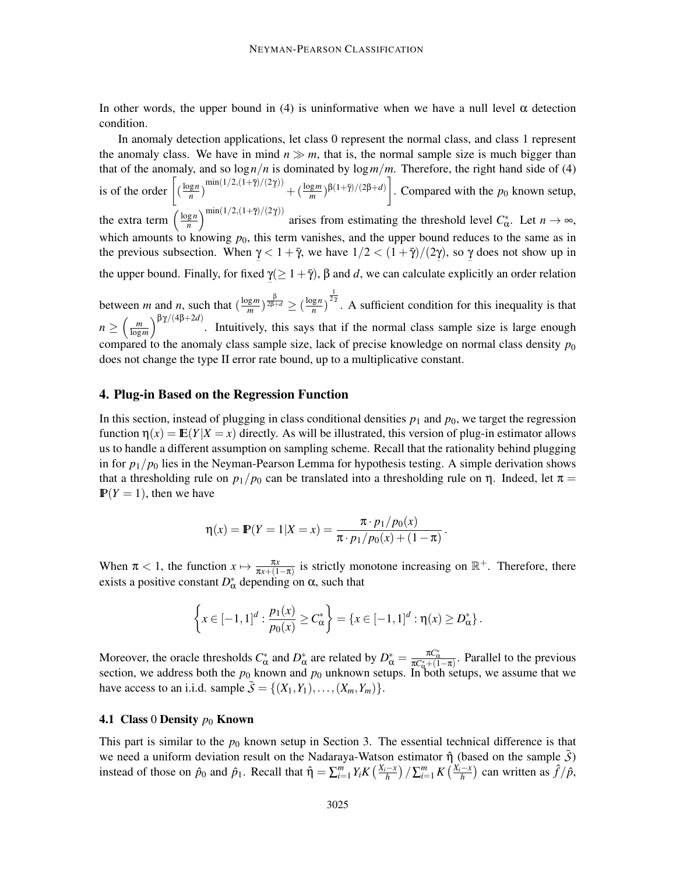In other words, the upper bound in (4) is uninformative when we have a null level  $\alpha$  detection condition.

In anomaly detection applications, let class 0 represent the normal class, and class 1 represent the anomaly class. We have in mind  $n \gg m$ , that is, the normal sample size is much bigger than that of the anomaly, and so  $\log n/n$  is dominated by  $\log m/m$ . Therefore, the right hand side of (4) is of the order  $\left[ \left( \frac{\log n}{n} \right)$  $\left(\frac{\log n}{n}\right)^{\min(1/2,(1+\bar{\gamma})/(2\gamma))} + \left(\frac{\log m}{m}\right)^{\beta(1+\bar{\gamma})/(2\beta+d)}\right]$ . Compared with the *p*<sub>0</sub> known setup, the extra term  $\left(\frac{\log n}{n}\right)$  $\lim_{n \to \infty} \int \frac{\sin(1/2, (1+\bar{\gamma})/(2\gamma))}{n}$  arises from estimating the threshold level *C*<sub>α</sub><sup>\*</sup>. Let *n* → ∞, which amounts to knowing  $p_0$ , this term vanishes, and the upper bound reduces to the same as in the previous subsection. When  $\gamma < 1 + \bar{\gamma}$ , we have  $1/2 < (1 + \bar{\gamma})/(2\gamma)$ , so  $\gamma$  does not show up in − − − the upper bound. Finally, for fixed  $\underline{\gamma}(\geq 1+\overline{\gamma})$ ,  $\beta$  and  $d$ , we can calculate explicitly an order relation −

between *m* and *n*, such that  $\left(\frac{\log m}{m}\right)$  $\frac{(\text{g}m)}{m}$ )  $\frac{\beta}{2\beta+d}$   $\geq (\frac{\log n}{n})$  $\frac{\lg n}{n}$ )  $\frac{1}{2\alpha}$ . A sufficient condition for this inequality is that  $n \geq \left(\frac{m}{\log n}\right)$  $\lim_{\log m}$ )<sup>βγ/(4β+2*d*)</sup>. Intuitively, this says that if the normal class sample size is large enough compared to the anomaly class sample size, lack of precise knowledge on normal class density  $p_0$ does not change the type II error rate bound, up to a multiplicative constant.

## 4. Plug-in Based on the Regression Function

In this section, instead of plugging in class conditional densities  $p_1$  and  $p_0$ , we target the regression function  $\eta(x) = \mathbb{E}(Y|X=x)$  directly. As will be illustrated, this version of plug-in estimator allows us to handle a different assumption on sampling scheme. Recall that the rationality behind plugging in for  $p_1/p_0$  lies in the Neyman-Pearson Lemma for hypothesis testing. A simple derivation shows that a thresholding rule on  $p_1/p_0$  can be translated into a thresholding rule on  $\eta$ . Indeed, let  $\pi$  =  $P(Y = 1)$ , then we have

$$
\eta(x) = \mathbb{P}(Y=1|X=x) = \frac{\pi \cdot p_1/p_0(x)}{\pi \cdot p_1/p_0(x) + (1-\pi)}.
$$

When  $\pi < 1$ , the function  $x \mapsto \frac{\pi x}{\pi x + (1-\pi)}$  is strictly monotone increasing on  $\mathbb{R}^+$ . Therefore, there exists a positive constant  $D^*_{\alpha}$  depending on  $\alpha$ , such that

$$
\left\{x \in [-1,1]^d : \frac{p_1(x)}{p_0(x)} \ge C^*_{\alpha}\right\} = \left\{x \in [-1,1]^d : \eta(x) \ge D^*_{\alpha}\right\}.
$$

Moreover, the oracle thresholds  $C^*_{\alpha}$  and  $D^*_{\alpha}$  are related by  $D^*_{\alpha} = \frac{\pi C^*_{\alpha}}{\pi C^*_{\alpha} + (1-\pi)}$ . Parallel to the previous section, we address both the  $p_0$  known and  $p_0$  unknown setups. In both setups, we assume that we have access to an i.i.d. sample  $\overline{S} = \{(X_1, Y_1), \ldots, (X_m, Y_m)\}.$ 

#### 4.1 Class 0 Density  $p_0$  Known

This part is similar to the  $p_0$  known setup in Section 3. The essential technical difference is that we need a uniform deviation result on the Nadaraya-Watson estimator  $\hat{\eta}$  (based on the sample  $\bar{S}$ ) instead of those on  $\hat{p}_0$  and  $\hat{p}_1$ . Recall that  $\hat{\eta} = \sum_{i=1}^m Y_i K\left(\frac{X_i - x}{h}\right) / \sum_{i=1}^m K\left(\frac{X_i - x}{h}\right)$  can written as  $\hat{f}/\hat{p}$ ,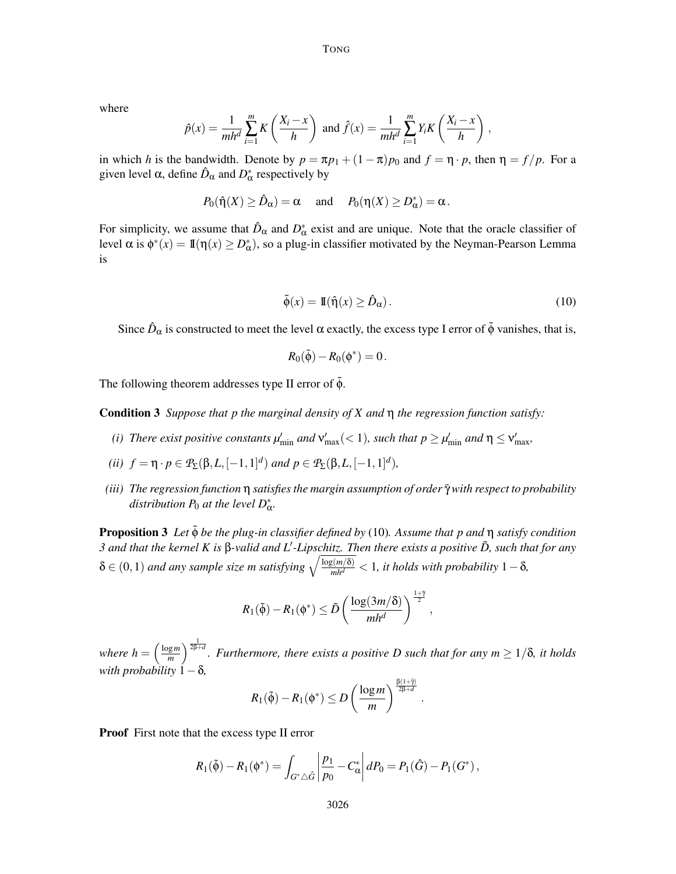where

$$
\hat{p}(x) = \frac{1}{mh^d} \sum_{i=1}^m K\left(\frac{X_i - x}{h}\right) \text{ and } \hat{f}(x) = \frac{1}{mh^d} \sum_{i=1}^m Y_i K\left(\frac{X_i - x}{h}\right),
$$

in which *h* is the bandwidth. Denote by  $p = \pi p_1 + (1 - \pi)p_0$  and  $f = \eta \cdot p$ , then  $\eta = f/p$ . For a given level  $\alpha$ , define  $\hat{D}_{\alpha}$  and  $D_{\alpha}^*$  respectively by

$$
P_0(\hat{\eta}(X) \ge \hat{D}_{\alpha}) = \alpha
$$
 and  $P_0(\eta(X) \ge D_{\alpha}^*) = \alpha$ .

For simplicity, we assume that  $\hat{D}_{\alpha}$  and  $D_{\alpha}^*$  exist and are unique. Note that the oracle classifier of level  $\alpha$  is  $\phi^*(x) = \mathbb{I}(\eta(x) \geq D^*_{\alpha})$ , so a plug-in classifier motivated by the Neyman-Pearson Lemma is

$$
\tilde{\phi}(x) = \mathbb{I}(\hat{\eta}(x) \ge \hat{D}_{\alpha}).
$$
\n(10)

Since  $\hat{D}_{\alpha}$  is constructed to meet the level  $\alpha$  exactly, the excess type I error of  $\tilde{\phi}$  vanishes, that is,

$$
R_0(\tilde{\phi}) - R_0(\phi^*) = 0.
$$

The following theorem addresses type II error of  $\tilde{\phi}$ .

Condition 3 *Suppose that p the marginal density of X and* η *the regression function satisfy:*

- (*i*) There exist positive constants  $\mu'_{\min}$  and  $v'_{\max}(< 1)$ , such that  $p \ge \mu'_{\min}$  and  $\eta \le v'_{\max}$ ,
- *(ii)*  $f = \eta \cdot p \in \mathcal{P}_\Sigma(\beta, L, [-1, 1]^d)$  *and*  $p \in \mathcal{P}_\Sigma(\beta, L, [-1, 1]^d)$ *,*
- *(iii)* The regression function η satisfies the margin assumption of order  $\bar{\gamma}$  with respect to probability distribution  $P_0$  at the level  $D^*_{\alpha}$ .

Proposition 3 Let  $\tilde{φ}$  *be the plug-in classifier defined by* (10)*. Assume that p and* η *satisfy condition 3 and that the kernel K is* β*-valid and L*′ *-Lipschitz. Then there exists a positive D, such that for any* ˜  $\delta \in (0,1)$  and any sample size m satisfying  $\sqrt{\frac{\log(m/\delta)}{m h^d}} < 1$ , it holds with probability  $1-\delta$ *,* 

$$
R_1(\tilde{\phi}) - R_1(\phi^*) \leq \tilde{D} \left( \frac{\log(3m/\delta)}{mh^d} \right)^{\frac{1+\gamma}{2}},
$$

*where*  $h = \frac{\log m}{m}$  $\left(\frac{2m}{m}\right)^{\frac{1}{2\beta+d}}$ . Furthermore, there exists a positive D such that for any  $m \geq 1/\delta$ , it holds *with probability*  $1-\delta$ ,

$$
R_1(\tilde{\phi}) - R_1(\phi^*) \leq D \left( \frac{\log m}{m} \right)^{\frac{\beta(1+\tilde{\gamma})}{2\beta+d}}.
$$

Proof First note that the excess type II error

$$
R_1(\tilde{\phi}) - R_1(\phi^*) = \int_{G^* \triangle \hat{G}} \left| \frac{p_1}{p_0} - C_{\alpha}^* \right| dP_0 = P_1(\hat{G}) - P_1(G^*) ,
$$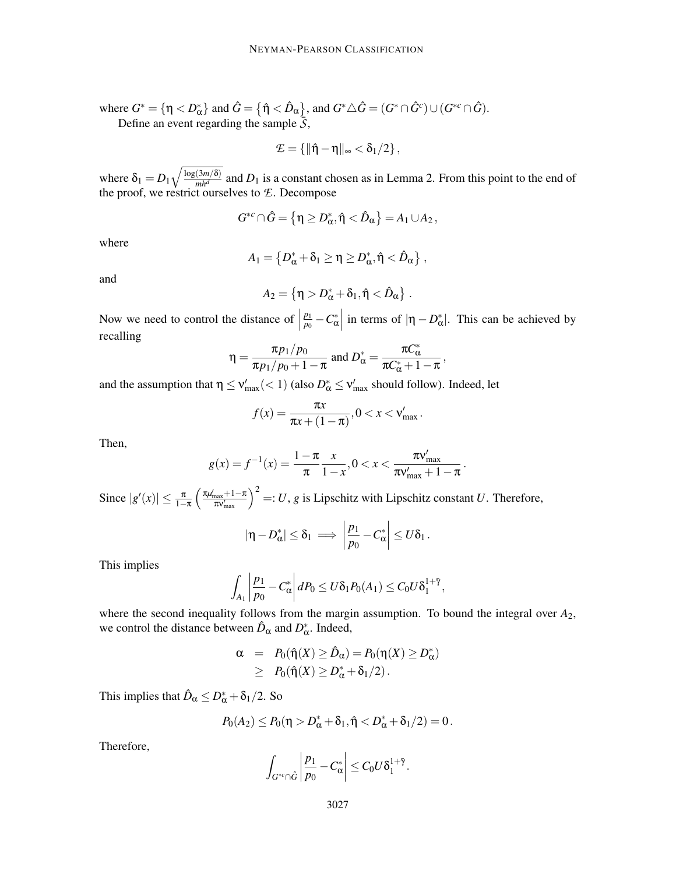where  $G^* = {\eta < p^*_{\alpha}}$  and  $\hat{G} = {\hat{\eta} < \hat{D}_{\alpha}}$ , and  $G^* \triangle \hat{G} = (G^* \cap \hat{G}^c) \cup (G^{*c} \cap \hat{G})$ . Define an event regarding the sample  $\overline{S}$ ,

$$
\mathcal{E} = \left\{ \|\hat{\eta} - \eta\|_{\infty} < \delta_1/2 \right\},\
$$

where  $\delta_1 = D_1 \sqrt{\frac{\log(3m/\delta)}{m h^d}}$  and  $D_1$  is a constant chosen as in Lemma 2. From this point to the end of the proof, we restrict ourselves to *E*. Decompose

$$
G^{*c} \cap \hat{G} = \left\{ \eta \geq D^*_{\alpha}, \hat{\eta} < \hat{D}_{\alpha} \right\} = A_1 \cup A_2 \,,
$$

where

$$
A_1 = \left\{ D^*_{\alpha} + \delta_1 \ge \eta \ge D^*_{\alpha}, \hat{\eta} < \hat{D}_{\alpha} \right\},\,
$$

and

$$
A_2 = \left\{ \eta > D^*_{\alpha} + \delta_1, \hat{\eta} < \hat{D}_{\alpha} \right\}.
$$

Now we need to control the distance of  $\vert$ *p*1  $\left| \frac{p_1}{p_0} - C^*_{\alpha} \right|$  in terms of  $|\eta - D^*_{\alpha}|$ . This can be achieved by recalling

$$
\eta = \frac{\pi p_1/p_0}{\pi p_1/p_0 + 1 - \pi} \text{ and } D_{\alpha}^* = \frac{\pi C_{\alpha}^*}{\pi C_{\alpha}^* + 1 - \pi},
$$

and the assumption that  $\eta \le v'_{\text{max}}(< 1)$  (also  $D^*_{\alpha} \le v'_{\text{max}}$  should follow). Indeed, let

$$
f(x) = \frac{\pi x}{\pi x + (1 - \pi)}, 0 < x < \mathsf{v}_{\max}.
$$

Then,

$$
g(x) = f^{-1}(x) = \frac{1 - \pi}{\pi} \frac{x}{1 - x}, 0 < x < \frac{\pi \mathbf{v}_{\max}'}{\pi \mathbf{v}_{\max}' + 1 - \pi}
$$

.

Since  $|g'(x)| \leq \frac{\pi}{1-\pi}$  $\left(\frac{\pi\mu_{\max}^2+1-\pi}{\pi\nu_{\max}^{\prime}}\right)^2 =: U$ , *g* is Lipschitz with Lipschitz constant *U*. Therefore,

$$
|\eta - D_{\alpha}^*| \leq \delta_1 \implies \left|\frac{p_1}{p_0} - C_{\alpha}^*\right| \leq U\delta_1.
$$

This implies

$$
\int_{A_1} \left| \frac{p_1}{p_0} - C_{\alpha}^* \right| dP_0 \leq U \delta_1 P_0(A_1) \leq C_0 U \delta_1^{1+\bar{\gamma}},
$$

where the second inequality follows from the margin assumption. To bound the integral over  $A_2$ , we control the distance between  $\hat{D}_{\alpha}$  and  $D_{\alpha}^*$ . Indeed,

$$
\alpha = P_0(\hat{\eta}(X) \geq \hat{D}_{\alpha}) = P_0(\eta(X) \geq D_{\alpha}^*)
$$
  
 
$$
\geq P_0(\hat{\eta}(X) \geq D_{\alpha}^* + \delta_1/2).
$$

This implies that  $\hat{D}_{\alpha} \leq D_{\alpha}^* + \delta_1/2$ . So

$$
P_0(A_2) \le P_0(\eta > D^*_{\alpha} + \delta_1, \hat{\eta} < D^*_{\alpha} + \delta_1/2) = 0.
$$

Therefore,

$$
\int_{G^{*c}\cap\hat{G}}\left|\frac{p_1}{p_0}-C_{\alpha}^*\right|\leq C_0U\delta_1^{1+\bar{\gamma}}.
$$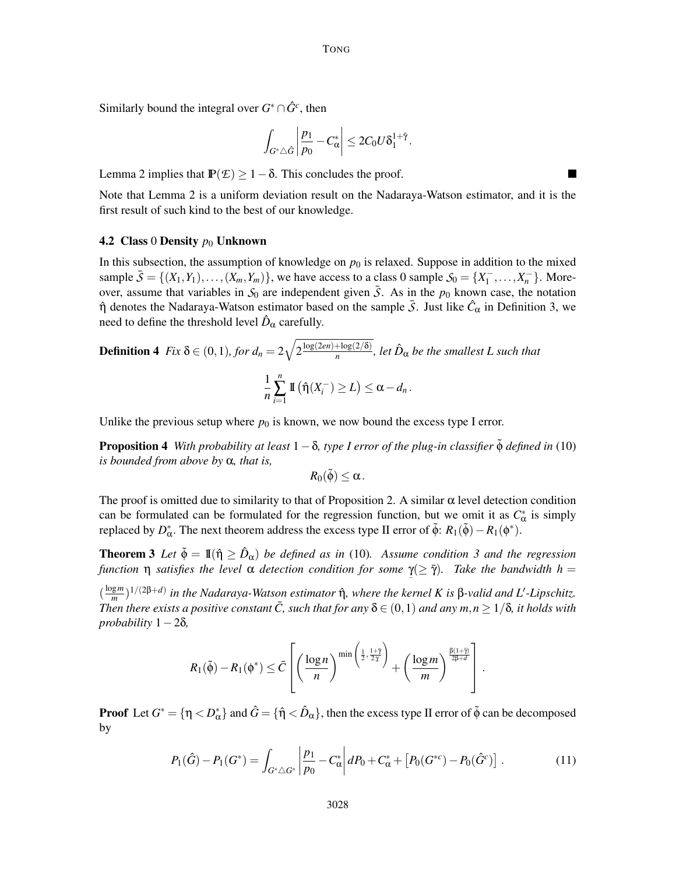Similarly bound the integral over  $G^* \cap \hat{G}^c$ , then

$$
\left|\int_{G^*\triangle \hat{G}}\left|\frac{p_1}{p_0}-C_{\alpha}^*\right|\leq 2C_0U\delta_1^{1+\tilde{\gamma}}.
$$

Lemma 2 implies that  $\mathbb{P}(\mathcal{E}) \geq 1 - \delta$ . This concludes the proof.

Note that Lemma 2 is a uniform deviation result on the Nadaraya-Watson estimator, and it is the first result of such kind to the best of our knowledge.

▅

#### 4.2 Class 0 Density  $p_0$  Unknown

In this subsection, the assumption of knowledge on  $p_0$  is relaxed. Suppose in addition to the mixed sample  $\bar{S} = \{(X_1, Y_1), \ldots, (X_m, Y_m)\}$ , we have access to a class 0 sample  $S_0 = \{X_1^-, \ldots, X_n^-\}$ . Moreover, assume that variables in  $S_0$  are independent given  $\overline{S}$ . As in the  $p_0$  known case, the notation  $η$  denotes the Nadaraya-Watson estimator based on the sample  $\bar{S}$ . Just like  $\hat{C}_{\alpha}$  in Definition 3, we need to define the threshold level  $\hat{D}_{\alpha}$  carefully.

**Definition 4** Fix 
$$
\delta \in (0, 1)
$$
, for  $d_n = 2\sqrt{2\frac{\log(2en) + \log(2/\delta)}{n}}$ , let  $\hat{D}_{\alpha}$  be the smallest L such that\n
$$
\frac{1}{n} \sum_{i=1}^{n} \mathbb{I}(\hat{\eta}(X_i^{-}) \ge L) \le \alpha - d_n.
$$

Unlike the previous setup where  $p_0$  is known, we now bound the excess type I error.

**Proposition 4** *With probability at least*  $1-\delta$ *, type I error of the plug-in classifier*  $\dot{\phi}$  *defined in* (10) *is bounded from above by* α*, that is,*

$$
R_0(\tilde{\phi})\leq \alpha.
$$

The proof is omitted due to similarity to that of Proposition 2. A similar  $\alpha$  level detection condition can be formulated can be formulated for the regression function, but we omit it as  $C^*_{\alpha}$  is simply replaced by  $D^*_{\alpha}$ . The next theorem address the excess type II error of  $\tilde{\phi}$ :  $R_1(\tilde{\phi}) - R_1(\phi^*)$ .

**Theorem 3** Let  $\tilde{\phi} = \mathbb{I}(\hat{\eta} \ge \hat{D}_{\alpha})$  be defined as in (10). Assume condition 3 and the regression *function* η *satisfies the level* α *detection condition for some*  $\gamma (\geq \bar{\gamma})$ *. Take the bandwidth h* =

 $\left(\frac{\log m}{m}\right)$  $\frac{g_m}{m}$ )<sup>1/(2β+*d*)</sup> in the Nadaraya-Watson estimator ή̂, where the kernel K is β-valid and L'-Lipschitz. *Then there exists a positive constant*  $\overline{C}$ , such that for any  $\delta \in (0,1)$  and any  $m,n > 1/\delta$ , it holds with  $probability$ <sup>1</sup> − 2 $\delta$ *,* 

$$
R_1(\tilde{\varphi}) - R_1(\varphi^*) \leq \bar{C} \left[ \left( \frac{\log n}{n} \right)^{\min \left( \frac{1}{2}, \frac{1+\tilde{\gamma}}{2\chi} \right)} + \left( \frac{\log m}{m} \right)^{\frac{\beta(1+\tilde{\gamma})}{2\beta+d}} \right].
$$

**Proof** Let  $G^* = \{\eta < D^*_\alpha\}$  and  $\hat{G} = \{\hat{\eta} < \hat{D}_\alpha\}$ , then the excess type II error of  $\tilde{\phi}$  can be decomposed by

$$
P_1(\hat{G}) - P_1(G^*) = \int_{G^* \triangle G^*} \left| \frac{p_1}{p_0} - C^*_{\alpha} \right| dP_0 + C^*_{\alpha} + \left[ P_0(G^{*c}) - P_0(\hat{G}^c) \right]. \tag{11}
$$

−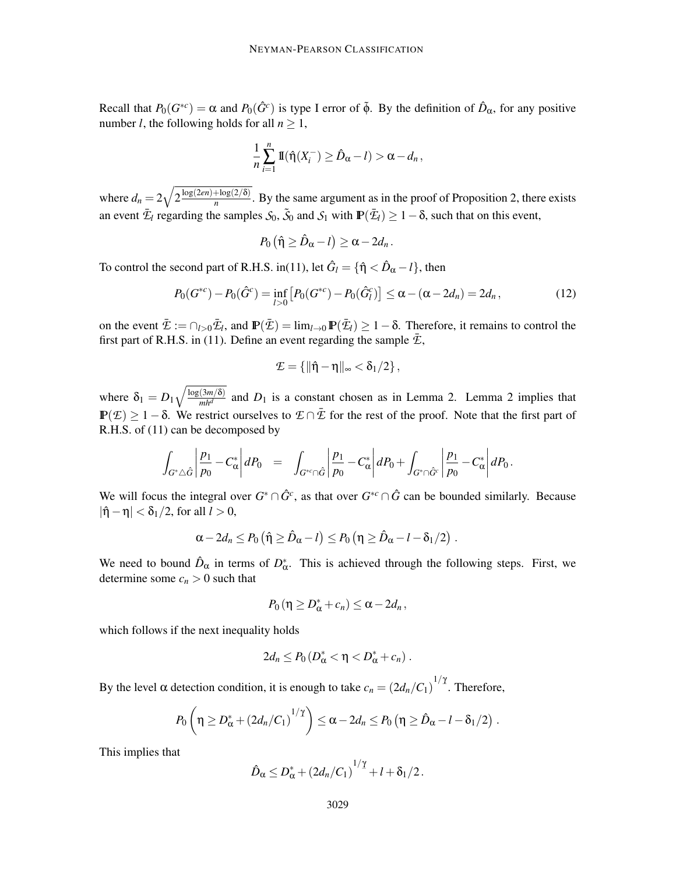Recall that  $P_0(G^{*c}) = \alpha$  and  $P_0(\hat{G}^c)$  is type I error of  $\tilde{\phi}$ . By the definition of  $\hat{D}_{\alpha}$ , for any positive number *l*, the following holds for all  $n \geq 1$ ,

$$
\frac{1}{n}\sum_{i=1}^n \mathrm{I\!I}(\hat{\eta}(X_i^-) \geq \hat{D}_{\alpha} - l) > \alpha - d_n,
$$

where  $d_n = 2\sqrt{2\frac{\log(2en) + \log(2/\delta)}{n}}$  $\frac{10g(2/0)}{n}$ . By the same argument as in the proof of Proposition 2, there exists an event  $\bar{E}_l$  regarding the samples  $S_0$ ,  $\tilde{S}_0$  and  $S_1$  with  $\mathbb{P}(\bar{E}_l) \geq 1-\delta$ , such that on this event,

$$
P_0(\hat{\eta}\geq \hat{D}_{\alpha}-l)\geq \alpha-2d_n.
$$

To control the second part of R.H.S. in(11), let  $\hat{G}_l = {\hat{\eta} < \hat{D}_{\alpha} - l}$ , then

$$
P_0(G^{*c}) - P_0(\hat{G}^c) = \inf_{l>0} \left[ P_0(G^{*c}) - P_0(\hat{G}^c_l) \right] \le \alpha - (\alpha - 2d_n) = 2d_n, \tag{12}
$$

on the event  $\bar{\mathcal{I}} := \bigcap_{l>0} \bar{\mathcal{I}}_l$ , and  $\mathbb{P}(\bar{\mathcal{I}}) = \lim_{l \to 0} \mathbb{P}(\bar{\mathcal{I}}_l) \geq 1 - \delta$ . Therefore, it remains to control the first part of R.H.S. in (11). Define an event regarding the sample  $\bar{\mathcal{E}}$ ,

$$
\mathcal{E}=\left\{\|\hat{\eta}-\eta\|_\infty<\delta_1/2\right\},
$$

where  $\delta_1 = D_1 \sqrt{\frac{\log(3m/\delta)}{m h^d}}$  and  $D_1$  is a constant chosen as in Lemma 2. Lemma 2 implies that  $\mathbb{P}(\mathcal{E}) \geq 1 - \delta$ . We restrict ourselves to  $\mathcal{E} \cap \bar{\mathcal{E}}$  for the rest of the proof. Note that the first part of R.H.S. of (11) can be decomposed by

$$
\int_{G^*\triangle \hat{G}} \left|\frac{p_1}{p_0} - C^*_\alpha\right| dP_0 = \int_{G^{*c}\cap \hat{G}} \left|\frac{p_1}{p_0} - C^*_\alpha\right| dP_0 + \int_{G^*\cap \hat{G}^c} \left|\frac{p_1}{p_0} - C^*_\alpha\right| dP_0.
$$

We will focus the integral over  $G^* \cap \hat{G}^c$ , as that over  $G^{*c} \cap \hat{G}$  can be bounded similarly. Because  $|\hat{\eta} - \eta| < \delta_1/2$ , for all  $l > 0$ ,

$$
\alpha - 2d_n \le P_0(\hat{\eta} \ge \hat{D}_\alpha - l) \le P_0(\eta \ge \hat{D}_\alpha - l - \delta_1/2).
$$

We need to bound  $\hat{D}_{\alpha}$  in terms of  $D_{\alpha}^*$ . This is achieved through the following steps. First, we determine some  $c_n > 0$  such that

$$
P_0(\eta \geq D^*_{\alpha} + c_n) \leq \alpha - 2d_n,
$$

which follows if the next inequality holds

$$
2d_n\leq P_0(D^*_{\alpha}<\eta
$$

By the level  $\alpha$  detection condition, it is enough to take  $c_n = (2d_n/C_1)^{1/2}$ . Therefore,

$$
P_0\left(\eta \geq D_{\alpha}^* + (2d_n/C_1)^{1/\gamma}\right) \leq \alpha - 2d_n \leq P_0\left(\eta \geq \hat{D}_{\alpha} - l - \delta_1/2\right).
$$

This implies that

$$
\hat{D}_{\alpha} \leq D_{\alpha}^* + (2d_n/C_1)^{1/\gamma} + l + \delta_1/2.
$$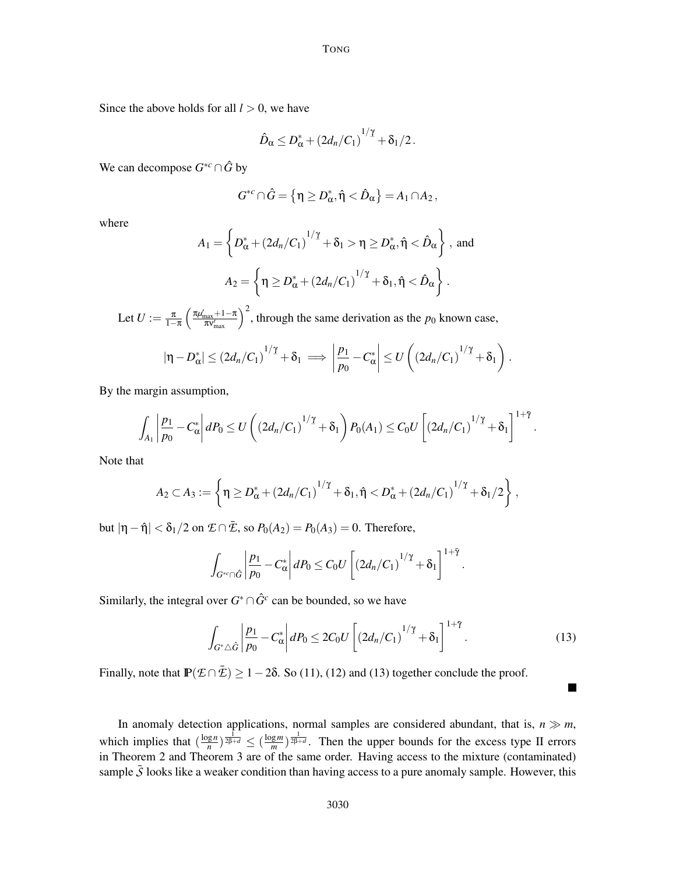Since the above holds for all  $l > 0$ , we have

$$
\hat{D}_{\alpha} \leq D_{\alpha}^* + (2d_n/C_1)^{1/\gamma} + \delta_1/2.
$$

We can decompose  $G^{*c} \cap \hat{G}$  by

$$
G^{*c}\cap \hat{G} = \left\{\eta \geq D^*_{\alpha}, \hat{\eta} < \hat{D}_{\alpha}\right\} = A_1 \cap A_2,
$$

where

$$
A_1 = \left\{ D_{\alpha}^* + \left(2d_n/C_1\right)^{1/\gamma} + \delta_1 > \eta \ge D_{\alpha}^*, \hat{\eta} < \hat{D}_{\alpha} \right\}, \text{ and}
$$

$$
A_2 = \left\{ \eta \ge D_{\alpha}^* + \left(2d_n/C_1\right)^{1/\gamma} + \delta_1, \hat{\eta} < \hat{D}_{\alpha} \right\}.
$$

Let  $U := \frac{\pi}{1-\pi}$  $1-\pi$  $\left(\frac{\pi\mu_{\text{max}}+1-\pi}{\pi\nu_{\text{max}}'}\right)^2$ , through the same derivation as the *p*<sub>0</sub> known case,

$$
|\eta - D_{\alpha}^*| \leq (2d_n/C_1)^{1/\gamma} + \delta_1 \implies \left|\frac{p_1}{p_0} - C_{\alpha}^*\right| \leq U\left((2d_n/C_1)^{1/\gamma} + \delta_1\right).
$$

By the margin assumption,

$$
\int_{A_1} \left| \frac{p_1}{p_0} - C_{\alpha}^* \right| dP_0 \leq U \left( (2d_n/C_1)^{1/\gamma} + \delta_1 \right) P_0(A_1) \leq C_0 U \left[ (2d_n/C_1)^{1/\gamma} + \delta_1 \right]^{1+\bar{\gamma}}.
$$

Note that

$$
A_2 \subset A_3 := \left\{ \eta \geq D_{\alpha}^* + (2d_n/C_1)^{1/\gamma} + \delta_1, \hat{\eta} < D_{\alpha}^* + (2d_n/C_1)^{1/\gamma} + \delta_1/2 \right\},\,
$$

but  $|\eta - \hat{\eta}| < \delta_1/2$  on  $\mathcal{I} \cap \bar{\mathcal{I}}$ , so  $P_0(A_2) = P_0(A_3) = 0$ . Therefore,

$$
\int_{G^{*c}\cap\hat{G}}\left|\frac{p_1}{p_0}-C_{\alpha}^*\right|dP_0\leq C_0U\left[\left(2d_n/C_1\right)^{1/\gamma}+\delta_1\right]^{1+\tilde{\gamma}}.
$$

Similarly, the integral over  $G^* \cap \hat{G}^c$  can be bounded, so we have

$$
\int_{G^*\triangle \hat{G}} \left| \frac{p_1}{p_0} - C^*_\alpha \right| dP_0 \le 2C_0 U \left[ \left( 2d_n/C_1 \right)^{1/\gamma} + \delta_1 \right]^{1+\bar{\gamma}}.
$$
\n(13)

 $\blacksquare$ 

Finally, note that  $\mathbb{P}(\mathcal{E} \cap \bar{\mathcal{E}}) \ge 1 - 2\delta$ . So (11), (12) and (13) together conclude the proof.

In anomaly detection applications, normal samples are considered abundant, that is,  $n \gg m$ , which implies that  $\left(\frac{\log n}{n}\right)$  $\frac{\log n}{n}$ )  $\frac{1}{2\beta+d}$   $\leq$   $\left(\frac{\log m}{m}\right)$  $\frac{(\frac{gm}{m})^{\frac{1}{2\beta+d}}}{(m)}$ . Then the upper bounds for the excess type II errors in Theorem 2 and Theorem 3 are of the same order. Having access to the mixture (contaminated) sample  $\overline{S}$  looks like a weaker condition than having access to a pure anomaly sample. However, this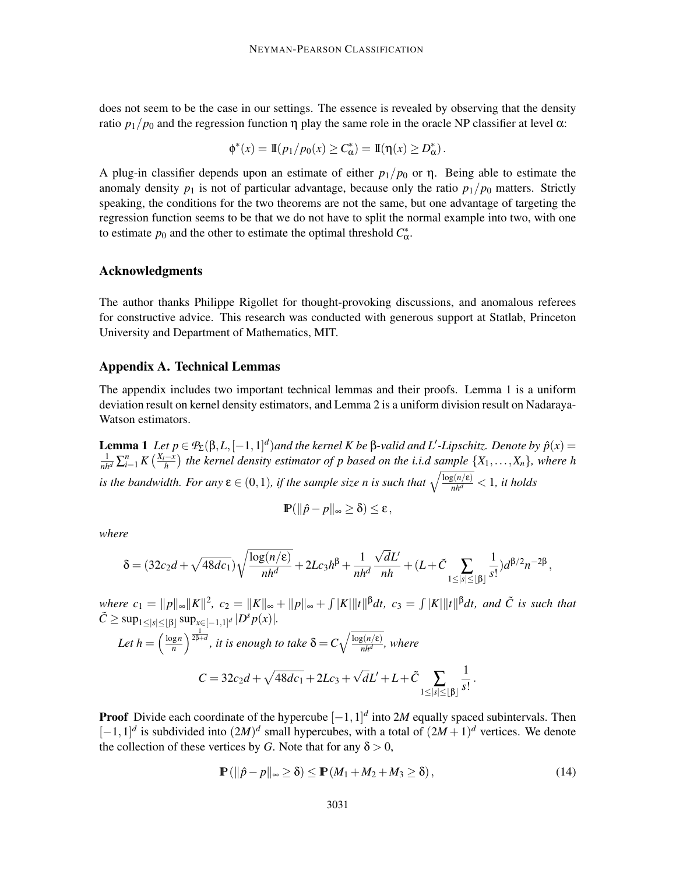does not seem to be the case in our settings. The essence is revealed by observing that the density ratio  $p_1/p_0$  and the regression function  $\eta$  play the same role in the oracle NP classifier at level  $\alpha$ :

$$
\phi^*(x) = \mathbb{I}(p_1/p_0(x) \geq C^*_{\alpha}) = \mathbb{I}(\eta(x) \geq D^*_{\alpha}).
$$

A plug-in classifier depends upon an estimate of either  $p_1/p_0$  or  $\eta$ . Being able to estimate the anomaly density  $p_1$  is not of particular advantage, because only the ratio  $p_1/p_0$  matters. Strictly speaking, the conditions for the two theorems are not the same, but one advantage of targeting the regression function seems to be that we do not have to split the normal example into two, with one to estimate  $p_0$  and the other to estimate the optimal threshold  $C^*_{\alpha}$ .

## Acknowledgments

The author thanks Philippe Rigollet for thought-provoking discussions, and anomalous referees for constructive advice. This research was conducted with generous support at Statlab, Princeton University and Department of Mathematics, MIT.

## Appendix A. Technical Lemmas

The appendix includes two important technical lemmas and their proofs. Lemma 1 is a uniform deviation result on kernel density estimators, and Lemma 2 is a uniform division result on Nadaraya-Watson estimators.

**Lemma 1** *Let p* ∈ *P*<sub>Σ</sub>(β,*L*,[−1,1]<sup>*d*</sup>)*and the kernel K be* β-valid *and L'*-*Lipschitz. Denote by*  $\hat{p}(x)$  =  $\frac{1}{nh^d}$  ∑ $_{i=1}^n$  K  $\left(\frac{X_i-x}{h}\right)$  the kernel density estimator of p based on the i.i.d sample  $\{X_1,\ldots,X_n\}$ , where h *is the bandwidth. For any*  $\epsilon \in (0,1)$ *, if the sample size n is such that*  $\sqrt{\frac{\log(n/\epsilon)}{nh^d}} < 1$ *, it holds* 

$$
\mathbb{P}(\|\hat{p}-p\|_{\infty}\geq\delta)\leq\epsilon,
$$

*where*

$$
\delta = (32c_2d + \sqrt{48dc_1})\sqrt{\frac{\log(n/\epsilon)}{nh^d}} + 2Lc_3h^{\beta} + \frac{1}{nh^d}\frac{\sqrt{d}L'}{nh} + (L+\tilde{C}\sum_{1 \leq |s| \leq \lfloor \beta \rfloor} \frac{1}{s!})d^{\beta/2}n^{-2\beta},
$$

 $w$ *here*  $c_1 = ||p||_{\infty} ||K||^2$ ,  $c_2 = ||K||_{\infty} + ||p||_{\infty} + \int |K|||t||^{\beta} dt$ ,  $c_3 = \int |K|||t||^{\beta} dt$ , and  $\tilde{C}$  is such that  $\tilde{C} \ge \sup_{1 \le |s| \le \lfloor \beta \rfloor} \sup_{x \in [-1,1]^d} |D^s p(x)|.$ Let  $h = \frac{\log n}{n}$  $\int_{0}^{\frac{\pi}{2\beta+d}}$  *it is enough to take*  $\delta$  =  $C\sqrt{\frac{\log(n/\varepsilon)}{nh^d}}$  $\frac{B(M/E)}{nh^d}$ , where  $C = 32c_2d + \sqrt{48dc_1} + 2Lc_3 + \sqrt{d}L' + L + \tilde{C}$   $\sum$ 1≤|*s*|≤⌊β⌋ 1  $\frac{1}{s!}$ .

**Proof** Divide each coordinate of the hypercube  $[-1,1]^d$  into 2*M* equally spaced subintervals. Then  $[-1, 1]$ <sup>*d*</sup> is subdivided into  $(2M)^d$  small hypercubes, with a total of  $(2M + 1)^d$  vertices. We denote the collection of these vertices by *G*. Note that for any  $\delta > 0$ ,

$$
\mathbb{P}(\|\hat{p}-p\|_{\infty}\geq \delta)\leq \mathbb{P}(M_1+M_2+M_3\geq \delta),\tag{14}
$$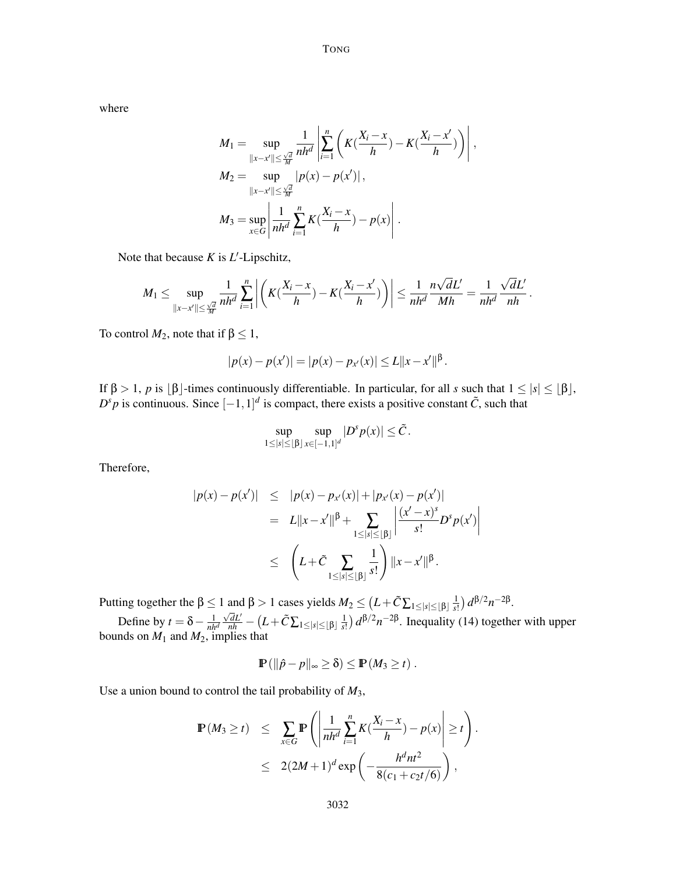where

$$
M_{1} = \sup_{\|x-x'\| \leq \frac{\sqrt{d}}{M}} \frac{1}{nh^{d}} \left| \sum_{i=1}^{n} \left( K(\frac{X_{i}-x}{h}) - K(\frac{X_{i}-x'}{h}) \right) \right|,
$$
  
\n
$$
M_{2} = \sup_{\|x-x'\| \leq \frac{\sqrt{d}}{M}} |p(x)-p(x')|,
$$
  
\n
$$
M_{3} = \sup_{x \in G} \left| \frac{1}{nh^{d}} \sum_{i=1}^{n} K(\frac{X_{i}-x}{h}) - p(x) \right|.
$$

Note that because *K* is *L*'-Lipschitz,

$$
M_1 \leq \sup_{\|x-x'\| \leq \frac{\sqrt{d}}{M}} \frac{1}{nh^d} \sum_{i=1}^n \left| \left( K(\frac{X_i - x}{h}) - K(\frac{X_i - x'}{h}) \right) \right| \leq \frac{1}{nh^d} \frac{n\sqrt{d}L'}{Mh} = \frac{1}{nh^d} \frac{\sqrt{d}L'}{nh}.
$$

To control  $M_2$ , note that if  $\beta \leq 1$ ,

$$
|p(x)-p(x')|=|p(x)-p_{x'}(x)|\leq L||x-x'||^{\beta}.
$$

If  $\beta > 1$ , *p* is  $\lfloor \beta \rfloor$ -times continuously differentiable. In particular, for all *s* such that  $1 \leq |s| \leq \lfloor \beta \rfloor$ ,  $D^s p$  is continuous. Since  $[-1,1]^d$  is compact, there exists a positive constant  $\tilde{C}$ , such that

$$
\sup_{1\leq |s|\leq \lfloor\beta\rfloor} \sup_{x\in [-1,1]^d} |D^s p(x)| \leq \tilde{C}.
$$

Therefore,

$$
|p(x) - p(x')| \leq |p(x) - p_{x'}(x)| + |p_{x'}(x) - p(x')|
$$
  
=  $L||x - x'||^{\beta} + \sum_{1 \leq |s| \leq |\beta|} \left| \frac{(x'-x)^{s}}{s!} D^{s} p(x') \right|$   

$$
\leq \left( L + \tilde{C} \sum_{1 \leq |s| \leq |\beta|} \frac{1}{s!} \right) ||x - x'||^{\beta}.
$$

Putting together the  $\beta \le 1$  and  $\beta > 1$  cases yields  $M_2 \le (L + \tilde{C} \sum_{1 \le |s| \le \lfloor \beta \rfloor} \frac{1}{s!}$  $\frac{1}{s!}$ )  $d^{\beta/2}n^{-2\beta}$ .

Define by  $t = \delta - \frac{1}{nh^d}$  $\frac{\sqrt{d}L'}{nh} - \big(L + \tilde{C}\sum_{1 \leq |s| \leq \lfloor \beta \rfloor} \frac{1}{s!}$  $\frac{1}{s!}$ )  $d^{\beta/2}n^{-2\beta}$ . Inequality (14) together with upper bounds on  $M_1$  and  $M_2$ , implies that

$$
\mathbb{P}(\|\hat{p}-p\|_{\infty}\geq \delta)\leq \mathbb{P}(M_3\geq t).
$$

Use a union bound to control the tail probability of *M*3,

$$
\mathbb{P}(M_3 \ge t) \le \sum_{x \in G} \mathbb{P}\left(\left|\frac{1}{nh^d} \sum_{i=1}^n K(\frac{X_i - x}{h}) - p(x)\right| \ge t\right).
$$
  
 
$$
\le 2(2M+1)^d \exp\left(-\frac{h^d nt^2}{8(c_1 + c_2 t/6)}\right),
$$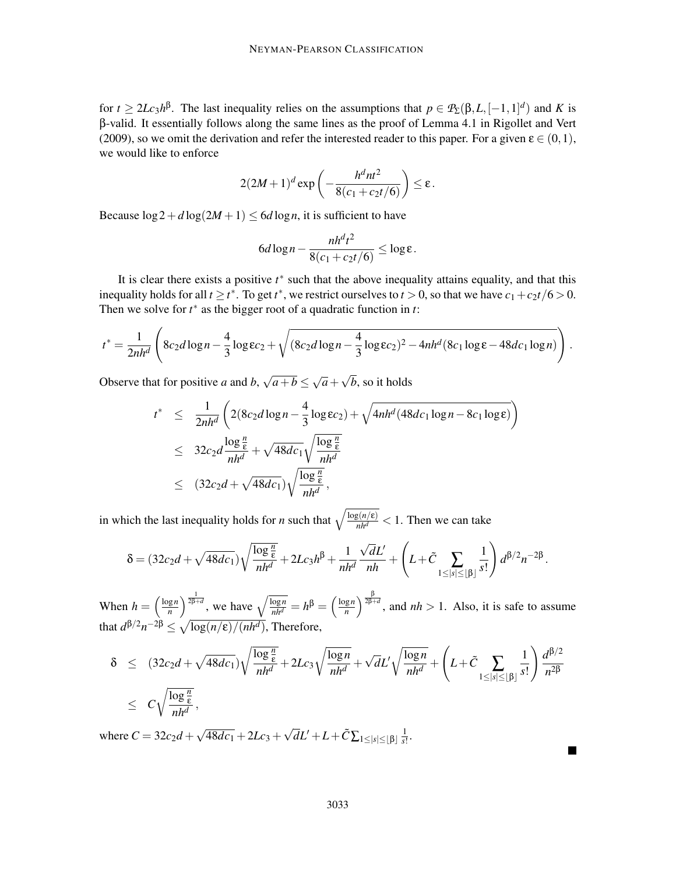for  $t \ge 2Lc_3h^{\beta}$ . The last inequality relies on the assumptions that  $p \in \mathcal{P}_{\Sigma}(\beta, L, [-1, 1]^d)$  and *K* is β-valid. It essentially follows along the same lines as the proof of Lemma 4.1 in Rigollet and Vert (2009), so we omit the derivation and refer the interested reader to this paper. For a given  $\varepsilon \in (0,1)$ , we would like to enforce

$$
2(2M+1)^d \exp\left(-\frac{h^d nt^2}{8(c_1+c_2t/6)}\right) \leq \varepsilon.
$$

Because  $\log 2 + d \log(2M + 1) \leq 6d \log n$ , it is sufficient to have

$$
6d\log n - \frac{nh^d t^2}{8(c_1 + c_2 t/6)} \le \log \varepsilon.
$$

It is clear there exists a positive  $t^*$  such that the above inequality attains equality, and that this inequality holds for all  $t \ge t^*$ . To get  $t^*$ , we restrict ourselves to  $t > 0$ , so that we have  $c_1 + c_2 t / 6 > 0$ . Then we solve for *t* ∗ as the bigger root of a quadratic function in *t*:

$$
t^* = \frac{1}{2nh^d} \left( 8c_2d \log n - \frac{4}{3} \log \varepsilon c_2 + \sqrt{(8c_2d \log n - \frac{4}{3} \log \varepsilon c_2)^2 - 4nh^d (8c_1 \log \varepsilon - 48dc_1 \log n)} \right).
$$

Observe that for positive *a* and *b*,  $\sqrt{a+b} \leq \sqrt{a} + \sqrt{b}$ , so it holds

$$
t^* \leq \frac{1}{2nh^d} \left( 2(8c_2d \log n - \frac{4}{3} \log \epsilon c_2) + \sqrt{4nh^d (48dc_1 \log n - 8c_1 \log \epsilon)} \right)
$$
  

$$
\leq 32c_2d \frac{\log \frac{n}{\epsilon}}{nh^d} + \sqrt{48dc_1} \sqrt{\frac{\log \frac{n}{\epsilon}}{nh^d}}
$$
  

$$
\leq (32c_2d + \sqrt{48dc_1}) \sqrt{\frac{\log \frac{n}{\epsilon}}{nh^d}},
$$

in which the last inequality holds for *n* such that  $\sqrt{\frac{\log(n/\epsilon)}{nh^d}} < 1$ . Then we can take

$$
\delta = (32c_2d + \sqrt{48dc_1})\sqrt{\frac{\log{\frac{n}{\varepsilon}}}{nh^d}} + 2Lc_3h^{\beta} + \frac{1}{nh^d}\frac{\sqrt{d}L'}{nh} + \left(L + \tilde{C} \sum_{1 \le |s| \le \lfloor \beta \rfloor} \frac{1}{s!}\right)d^{\beta/2}n^{-2\beta}.
$$

When  $h = \left(\frac{\log n}{n}\right)$  $\left(\frac{\log n}{n}\right)^{\frac{1}{2\beta+d}}$ , we have  $\sqrt{\frac{\log n}{nh^d}} = h^{\beta} = \left(\frac{\log n}{n}\right)$  $\left(\frac{\log n}{n}\right)^{\frac{\beta}{2\beta+d}}$ , and *nh* > 1. Also, it is safe to assume that  $d^{\beta/2}n^{-2\beta} \le \sqrt{\log(n/\epsilon)/(nh^d)}$ , Therefore,

$$
\delta \leq (32c_2d + \sqrt{48dc_1})\sqrt{\frac{\log{\frac{n}{\epsilon}}}{nh^d}} + 2Lc_3\sqrt{\frac{\log{n}}{nh^d}} + \sqrt{d}L'\sqrt{\frac{\log{n}}{nh^d}} + \left(L + \tilde{C} \sum_{1 \leq |s| \leq \lfloor \beta \rfloor} \frac{1}{s!} \right) \frac{d^{\beta/2}}{n^{2\beta}}
$$
  
 
$$
\leq C\sqrt{\frac{\log{\frac{n}{\epsilon}}}{nh^d}},
$$

where  $C = 32c_2d + \sqrt{48dc_1} + 2Lc_3 + \sqrt{d}L' + L + \tilde{C}\sum_{1 \le |s| \le \lfloor \beta \rfloor} \frac{1}{s!}$  $\frac{1}{s!}$ .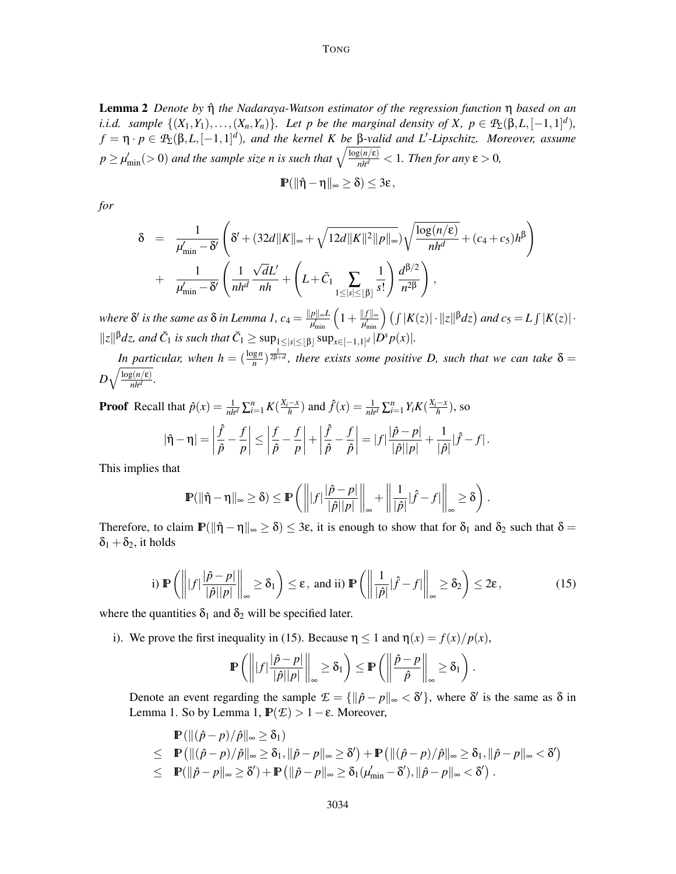Lemma 2 *Denote by* ηˆ *the Nadaraya-Watson estimator of the regression function* η *based on an i.i.d.* sample  $\{(X_1,Y_1),\ldots,(X_n,Y_n)\}$ *. Let p be the marginal density of X, p*  $\in$   $\mathcal{P}_{\Sigma}(\beta,L,[-1,1]^d)$ *,*  $f = \eta \cdot p \in \mathcal{P}_\Sigma(\beta, L, [-1, 1]^d)$ , and the kernel K be  $\beta$ -valid and L'-Lipschitz. Moreover, assume  $p \ge \mu'_{\min} (> 0)$  and the sample size n is such that  $\sqrt{\frac{\log(n/\epsilon)}{nh^d}} < 1$ . Then for any  $\epsilon > 0$ ,

$$
\mathbb{P}(\|\hat{\eta}-\eta\|_{\infty}\geq\delta)\leq 3\epsilon\,,
$$

*for*

$$
\delta = \frac{1}{\mu'_{\min} - \delta'} \left( \delta' + (32d \|K\|_{\infty} + \sqrt{12d \|K\|^2 \|p\|_{\infty}}) \sqrt{\frac{\log(n/\epsilon)}{nh^d}} + (c_4 + c_5)h^{\beta} \right) + \frac{1}{\mu'_{\min} - \delta'} \left( \frac{1}{nh^d} \frac{\sqrt{d}L'}{nh} + \left( L + \tilde{C}_1 \sum_{1 \leq |s| \leq \lfloor \beta \rfloor} \frac{1}{s!} \right) \frac{d^{\beta/2}}{n^{2\beta}} \right),
$$

where  $\delta'$  is the same as  $\delta$  in Lemma 1,  $c_4 = \frac{\|p\|_\infty L}{\mu_{\min}'}\left(1+\frac{\|f\|_\infty}{\mu_{\min}'}\right)\left(\int |K(z)|\cdot \|z\|^{\beta}dz\right)$  and  $c_5 = L\int |K(z)|\cdot$  $||z||^{\beta}dz$ , and  $\tilde{C}_1$  is such that  $\tilde{C}_1 \ge \sup_{1 \le |s| \le \lfloor \beta \rfloor} \sup_{x \in [-1,1]^d} |D^s p(x)|$ .

*In particular, when*  $h = (\frac{\log n}{n})^{\frac{1}{2\beta+d}}$ , there exists some positive D, such that we can take  $\delta =$  $D\sqrt{\frac{\log(n/\epsilon)}{nh^d}}$  $\frac{B(n/\varepsilon)}{nh^d}$ .

**Proof** Recall that  $\hat{p}(x) = \frac{1}{nh^d} \sum_{i=1}^n K(\frac{X_i - x}{h})$  and  $\hat{f}(x) = \frac{1}{nh^d} \sum_{i=1}^n Y_i K(\frac{X_i - x}{h})$ , so  $\left| \frac{\hat{f}}{f} - \frac{f}{f} \right| \le \left| \frac{f}{f} - \frac{f}{f} \right| + \left| \frac{\hat{f}}{f} - \frac{f}{f} \right| = |f| \frac{\left| \hat{p} - p \right|}{\left| \frac{\left| \hat{p} - p \right|}{f} \right|} + \frac{1}{\sqrt{2}}$ 

$$
|\hat{\eta} - \eta| = \left|\frac{J}{\hat{p}} - \frac{J}{p}\right| \le \left|\frac{J}{\hat{p}} - \frac{J}{p}\right| + \left|\frac{J}{\hat{p}} - \frac{J}{\hat{p}}\right| = |f|\frac{|p - p|}{|\hat{p}||p|} + \frac{1}{|\hat{p}|}|\hat{f} - f|.
$$

This implies that

$$
\mathbb{P}(\|\hat{\eta}-\eta\|_{\infty}\geq\delta)\leq \mathbb{P}\left(\left\||f|\frac{|\hat{p}-p|}{|\hat{p}||p|}\right\|_{\infty}+\left\|\frac{1}{|\hat{p}|}|\hat{f}-f|\right\|_{\infty}\geq\delta\right).
$$

Therefore, to claim  $\mathbb{P}(\|\hat{\eta} - \eta\|_{\infty} \ge \delta) \le 3\varepsilon$ , it is enough to show that for  $\delta_1$  and  $\delta_2$  such that  $\delta =$  $\delta_1 + \delta_2$ , it holds

i) 
$$
\mathbb{P}\left(\left\| |f| \frac{|\hat{p} - p|}{|\hat{p}||p|} \right\|_{\infty} \ge \delta_1 \right) \le \varepsilon
$$
, and ii)  $\mathbb{P}\left(\left\| \frac{1}{|\hat{p}|} |\hat{f} - f| \right\|_{\infty} \ge \delta_2 \right) \le 2\varepsilon$ , (15)

where the quantities  $\delta_1$  and  $\delta_2$  will be specified later.

i). We prove the first inequality in (15). Because  $\eta \le 1$  and  $\eta(x) = f(x)/p(x)$ ,

$$
\mathbb{P}\left(\left\| |f|\frac{|\hat{p}-p|}{|\hat{p}||p|}\right\|_{\infty}\geq \delta_1\right)\leq \mathbb{P}\left(\left\|\frac{\hat{p}-p}{\hat{p}}\right\|_{\infty}\geq \delta_1\right).
$$

Denote an event regarding the sample  $\mathcal{E} = \{ ||\hat{p} - p||_{\infty} < \delta' \}$ , where  $\delta'$  is the same as  $\delta$  in Lemma 1. So by Lemma 1,  $\mathbb{P}(\mathcal{E}) > 1 - \varepsilon$ . Moreover,

$$
\mathbb{P}\left(\left\|(\hat{p}-p)/\hat{p}\right\|_{\infty}\geq\delta_{1}\right) \leq \mathbb{P}\left(\left\|(\hat{p}-p)/\hat{p}\right\|_{\infty}\geq\delta_{1},\|\hat{p}-p\|_{\infty}\geq\delta'\right)+\mathbb{P}\left(\left\|(\hat{p}-p)/\hat{p}\right\|_{\infty}\geq\delta_{1},\|\hat{p}-p\|_{\infty}<\delta'\right) \leq \mathbb{P}(\|\hat{p}-p\|_{\infty}\geq\delta')+ \mathbb{P}\left(\|\hat{p}-p\|_{\infty}\geq\delta_{1}(\mu'_{\min}-\delta'),\|\hat{p}-p\|_{\infty}<\delta'\right).
$$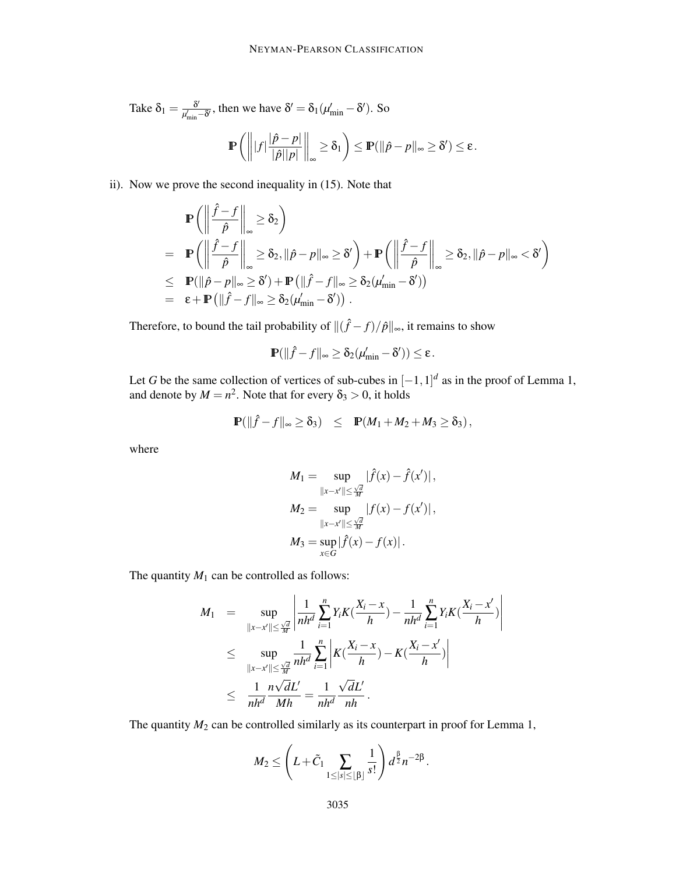Take  $\delta_1 = \frac{\delta'}{\mu'_{\text{min}} - \delta'}$ , then we have  $\delta' = \delta_1(\mu'_{\text{min}} - \delta')$ . So

$$
\mathbb{P}\left(\left\| |f|\frac{|\hat{p}-p|}{|\hat{p}||p|}\right\|_{\infty}\geq \delta_1\right)\leq \mathbb{P}(\|\hat{p}-p\|_{\infty}\geq \delta')\leq \epsilon.
$$

ii). Now we prove the second inequality in (15). Note that

$$
\mathbb{P}\left(\left\|\frac{\hat{f}-f}{\hat{p}}\right\|_{\infty}\geq \delta_{2}\right) \n= \mathbb{P}\left(\left\|\frac{\hat{f}-f}{\hat{p}}\right\|_{\infty}\geq \delta_{2}, \|\hat{p}-p\|_{\infty}\geq \delta'\right) + \mathbb{P}\left(\left\|\frac{\hat{f}-f}{\hat{p}}\right\|_{\infty}\geq \delta_{2}, \|\hat{p}-p\|_{\infty}< \delta'\right) \n\leq \mathbb{P}(\|\hat{p}-p\|_{\infty}\geq \delta') + \mathbb{P}\left(\|\hat{f}-f\|_{\infty}\geq \delta_{2}(\mu'_{\min}-\delta')\right) \n= \epsilon + \mathbb{P}\left(\|\hat{f}-f\|_{\infty}\geq \delta_{2}(\mu'_{\min}-\delta')\right).
$$

Therefore, to bound the tail probability of  $\|(\hat{f} - f)/\hat{p}\|_{\infty}$ , it remains to show

$$
\mathbb{P}(\|\hat{f} - f\|_{\infty} \ge \delta_2(\mu'_{\min} - \delta')) \le \varepsilon.
$$

Let *G* be the same collection of vertices of sub-cubes in  $[-1,1]^d$  as in the proof of Lemma 1, and denote by  $M = n^2$ . Note that for every  $\delta_3 > 0$ , it holds

$$
\mathbb{P}(\|\hat{f} - f\|_{\infty} \geq \delta_3) \leq \mathbb{P}(M_1 + M_2 + M_3 \geq \delta_3),
$$

where

$$
M_1 = \sup_{\|x - x'\| \le \frac{\sqrt{d}}{M}} |\hat{f}(x) - \hat{f}(x')|,
$$
  
\n
$$
M_2 = \sup_{\|x - x'\| \le \frac{\sqrt{d}}{M}} |f(x) - f(x')|,
$$
  
\n
$$
M_3 = \sup_{x \in G} |\hat{f}(x) - f(x)|.
$$

The quantity  $M_1$  can be controlled as follows:

$$
M_1 = \sup_{\|x-x'\| \le \frac{\sqrt{d}}{M}} \left| \frac{1}{nh^d} \sum_{i=1}^n Y_i K(\frac{X_i - x}{h}) - \frac{1}{nh^d} \sum_{i=1}^n Y_i K(\frac{X_i - x'}{h}) \right|
$$
  
\n
$$
\le \sup_{\|x-x'\| \le \frac{\sqrt{d}}{M}} \frac{1}{nh^d} \sum_{i=1}^n \left| K(\frac{X_i - x}{h}) - K(\frac{X_i - x'}{h}) \right|
$$
  
\n
$$
\le \frac{1}{nh^d} \frac{n\sqrt{d}L'}{Mh} = \frac{1}{nh^d} \frac{\sqrt{d}L'}{nh}.
$$

The quantity  $M_2$  can be controlled similarly as its counterpart in proof for Lemma 1,

$$
M_2 \leq \left(L+\tilde{C}_1 \sum_{1 \leq |s| \leq \lfloor \beta \rfloor} \frac{1}{s!} \right) d^{\frac{\beta}{2}} n^{-2\beta}.
$$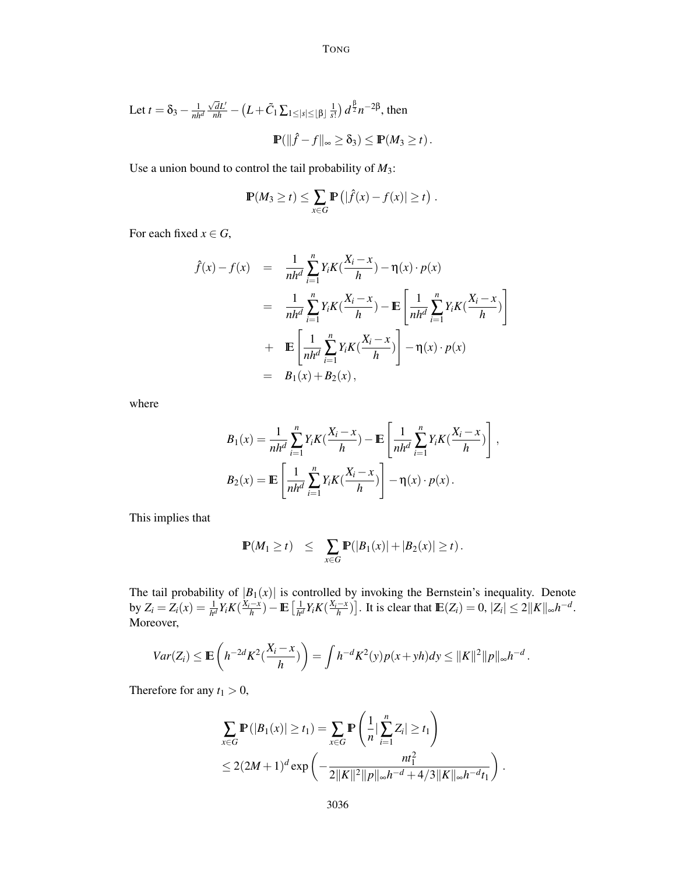Let 
$$
t = \delta_3 - \frac{1}{nh^d} \frac{\sqrt{d}L'}{nh} - (L + \tilde{C}_1 \sum_{1 \le |s| \le |B|} \frac{1}{s!}) d^{\frac{\beta}{2}} n^{-2\beta}
$$
, then  

$$
\mathbb{P}(\|\hat{f} - f\|_{\infty} \ge \delta_3) \le \mathbb{P}(M_3 \ge t).
$$

Use a union bound to control the tail probability of *M*3:

$$
\mathbb{P}(M_3 \ge t) \le \sum_{x \in G} \mathbb{P}\left(|\hat{f}(x) - f(x)| \ge t\right).
$$

For each fixed  $x \in G$ ,

$$
\hat{f}(x) - f(x) = \frac{1}{nh^d} \sum_{i=1}^n Y_i K(\frac{X_i - x}{h}) - \eta(x) \cdot p(x)
$$
  
\n
$$
= \frac{1}{nh^d} \sum_{i=1}^n Y_i K(\frac{X_i - x}{h}) - \mathbb{E} \left[ \frac{1}{nh^d} \sum_{i=1}^n Y_i K(\frac{X_i - x}{h}) \right]
$$
  
\n
$$
+ \mathbb{E} \left[ \frac{1}{nh^d} \sum_{i=1}^n Y_i K(\frac{X_i - x}{h}) \right] - \eta(x) \cdot p(x)
$$
  
\n
$$
= B_1(x) + B_2(x),
$$

where

$$
B_1(x) = \frac{1}{nh^d} \sum_{i=1}^n Y_i K(\frac{X_i - x}{h}) - \mathbb{E}\left[\frac{1}{nh^d} \sum_{i=1}^n Y_i K(\frac{X_i - x}{h})\right],
$$
  

$$
B_2(x) = \mathbb{E}\left[\frac{1}{nh^d} \sum_{i=1}^n Y_i K(\frac{X_i - x}{h})\right] - \eta(x) \cdot p(x).
$$

This implies that

$$
\mathbb{P}(M_1 \ge t) \le \sum_{x \in G} \mathbb{P}(|B_1(x)| + |B_2(x)| \ge t).
$$

The tail probability of  $|B_1(x)|$  is controlled by invoking the Bernstein's inequality. Denote  $\frac{1}{h^d} Y_i K(\frac{X_i - x}{h}) - \mathbb{E} \left[ \frac{1}{h^d} \right]$  $\frac{1}{h^d} Y_i K(\frac{X_i - x}{h})$ . It is clear that  $\mathbb{E}(Z_i) = 0$ ,  $|Z_i| \leq 2||K||_{\infty} h^{-d}$ . Moreover,

$$
Var(Z_i) \leq \mathbb{E}\left(h^{-2d}K^2(\frac{X_i-x}{h})\right) = \int h^{-d}K^2(y)p(x+yh)dy \leq ||K||^2||p||_{\infty}h^{-d}.
$$

Therefore for any  $t_1 > 0$ ,

$$
\sum_{x \in G} \mathbb{P}(|B_1(x)| \ge t_1) = \sum_{x \in G} \mathbb{P}\left(\frac{1}{n} \left|\sum_{i=1}^n Z_i\right| \ge t_1\right)
$$
  
\n
$$
\le 2(2M+1)^d \exp\left(-\frac{nt_1^2}{2\|K\|^2 \|p\|_{\infty}h^{-d} + 4/3\|K\|_{\infty}h^{-d}t_1}\right).
$$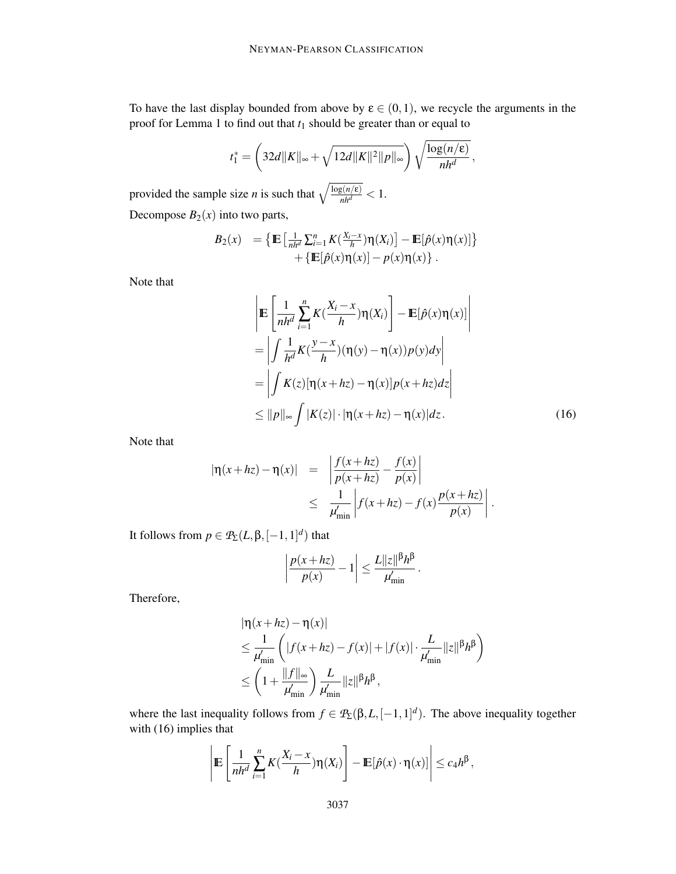To have the last display bounded from above by  $\varepsilon \in (0,1)$ , we recycle the arguments in the proof for Lemma 1 to find out that *t*<sup>1</sup> should be greater than or equal to

$$
t_1^* = \left(32d||K||_{\infty} + \sqrt{12d||K||^2||p||_{\infty}}\right)\sqrt{\frac{\log(n/\epsilon)}{nh^d}},
$$

provided the sample size *n* is such that  $\sqrt{\frac{\log(n/\epsilon)}{nh^d}} < 1$ .

Decompose  $B_2(x)$  into two parts,

$$
B_2(x) = \left\{ \mathbb{E} \left[ \frac{1}{nh^d} \sum_{i=1}^n K(\frac{X_i - x}{h}) \eta(X_i) \right] - \mathbb{E}[\hat{p}(x) \eta(x)] \right\} + \left\{ \mathbb{E}[\hat{p}(x) \eta(x)] - p(x) \eta(x) \right\}.
$$

Note that

$$
\begin{aligned}\n&\left| \mathbb{E} \left[ \frac{1}{nh^d} \sum_{i=1}^n K(\frac{X_i - x}{h}) \eta(X_i) \right] - \mathbb{E}[\hat{p}(x) \eta(x)] \right| \\
&= \left| \int \frac{1}{h^d} K(\frac{y - x}{h}) (\eta(y) - \eta(x)) p(y) dy \right| \\
&= \left| \int K(z) [\eta(x + hz) - \eta(x)] p(x + hz) dz \right| \\
&\leq \| p \|_{\infty} \int |K(z)| \cdot |\eta(x + hz) - \eta(x)| dz.\n\end{aligned} \tag{16}
$$

.

Note that

$$
|\eta(x+hz) - \eta(x)| = \left| \frac{f(x+hz)}{p(x+hz)} - \frac{f(x)}{p(x)} \right|
$$
  

$$
\leq \frac{1}{\mu'_{\min}} \left| f(x+hz) - f(x) \frac{p(x+hz)}{p(x)} \right|
$$

It follows from  $p \in \mathcal{P}_{\Sigma}(L, \beta, [-1, 1]^d)$  that

$$
\left|\frac{p(x+hz)}{p(x)}-1\right|\leq \frac{L||z||^{\beta}h^{\beta}}{\mu'_{\min}}.
$$

Therefore,

$$
\begin{aligned} &|\eta(x+hz)-\eta(x)|\\ &\leq \frac{1}{\mu'_{\min}}\left(|f(x+hz)-f(x)|+|f(x)|\cdot\frac{L}{\mu'_{\min}}\|z\|^{\beta}h^{\beta}\right)\\ &\leq \left(1+\frac{\|f\|_{\infty}}{\mu'_{\min}}\right)\frac{L}{\mu'_{\min}}\|z\|^{\beta}h^{\beta}, \end{aligned}
$$

where the last inequality follows from  $f \in \mathcal{P}_{\Sigma}(\beta, L, [-1, 1]^d)$ . The above inequality together with (16) implies that

$$
\left|\mathbb{E}\left[\frac{1}{nh^d}\sum_{i=1}^n K(\frac{X_i-x}{h})\eta(X_i)\right]-\mathbb{E}[\hat{p}(x)\cdot \eta(x)]\right|\leq c_4h^{\beta},
$$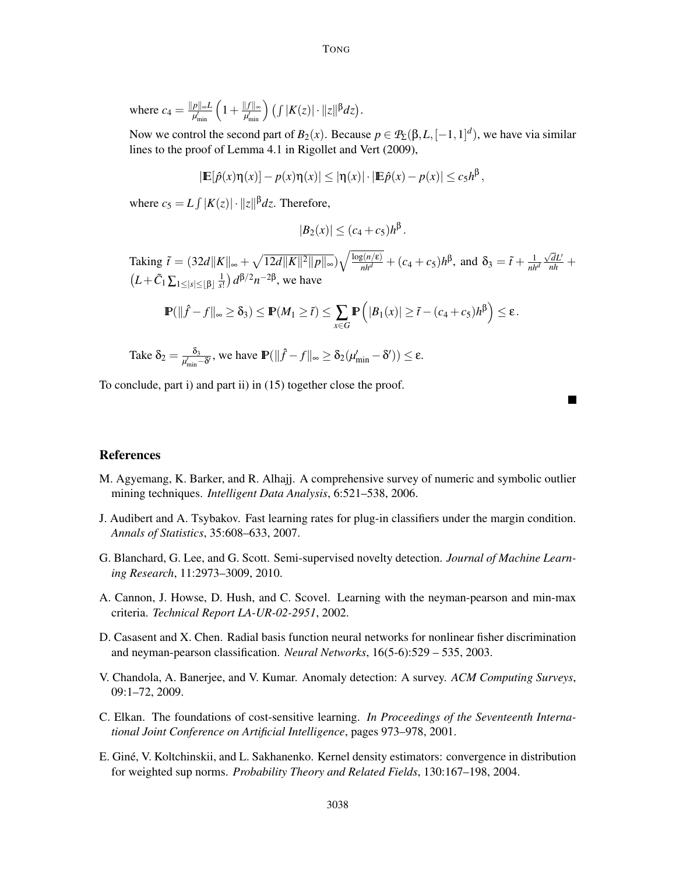where  $c_4 = \frac{\|p\|_{\infty}L}{\mu'_{\min}} \left(1 + \frac{\|f\|_{\infty}}{\mu'_{\min}}\right) \left(\int |K(z)| \cdot \|z\|^{\beta} dz\right).$ 

Now we control the second part of  $B_2(x)$ . Because  $p \in \mathcal{P}_\Sigma(\beta, L, [-1, 1]^d)$ , we have via similar lines to the proof of Lemma 4.1 in Rigollet and Vert (2009),

$$
|\mathbb{E}[\hat{p}(x)\eta(x)] - p(x)\eta(x)| \leq |\eta(x)| \cdot |\mathbb{E}\hat{p}(x) - p(x)| \leq c_5 h^{\beta},
$$

where  $c_5 = L \int |K(z)| \cdot ||z||^{\beta} dz$ . Therefore,

$$
|B_2(x)| \leq (c_4+c_5)h^{\beta}.
$$

Taking  $\tilde{t} = (32d||K||_{\infty} + \sqrt{12d||K||^2||p||_{\infty}})\sqrt{\frac{\log(n/\epsilon)}{nh^d}} + (c_4 + c_5)h^{\beta}$ , and  $\delta_3 = \tilde{t} + \frac{1}{nh^d}$  $\frac{\sqrt{d}L'}{nh}$  +  $(L+\tilde{C}_1\sum_{1\leq |s|\leq \lfloor \beta \rfloor}\frac{1}{s!}$  $\frac{1}{s!}$ )  $d^{\beta/2}n^{-2\beta}$ , we have

$$
\mathbb{P}(\|\hat{f} - f\|_{\infty} \ge \delta_3) \le \mathbb{P}(M_1 \ge \tilde{t}) \le \sum_{x \in G} \mathbb{P}\left(|B_1(x)| \ge \tilde{t} - (c_4 + c_5)h^{\beta}\right) \le \varepsilon.
$$

Take 
$$
\delta_2 = \frac{\delta_3}{\mu'_{\min} - \delta'}
$$
, we have  $\mathbb{P}(\|\hat{f} - f\|_{\infty} \ge \delta_2(\mu'_{\min} - \delta')) \le \epsilon$ .

To conclude, part i) and part ii) in (15) together close the proof.

# **References**

- M. Agyemang, K. Barker, and R. Alhajj. A comprehensive survey of numeric and symbolic outlier mining techniques. *Intelligent Data Analysis*, 6:521–538, 2006.
- J. Audibert and A. Tsybakov. Fast learning rates for plug-in classifiers under the margin condition. *Annals of Statistics*, 35:608–633, 2007.
- G. Blanchard, G. Lee, and G. Scott. Semi-supervised novelty detection. *Journal of Machine Learning Research*, 11:2973–3009, 2010.
- A. Cannon, J. Howse, D. Hush, and C. Scovel. Learning with the neyman-pearson and min-max criteria. *Technical Report LA-UR-02-2951*, 2002.
- D. Casasent and X. Chen. Radial basis function neural networks for nonlinear fisher discrimination and neyman-pearson classification. *Neural Networks*, 16(5-6):529 – 535, 2003.
- V. Chandola, A. Banerjee, and V. Kumar. Anomaly detection: A survey. *ACM Computing Surveys*, 09:1–72, 2009.
- C. Elkan. The foundations of cost-sensitive learning. *In Proceedings of the Seventeenth International Joint Conference on Artificial Intelligence*, pages 973–978, 2001.
- E. Giné, V. Koltchinskii, and L. Sakhanenko. Kernel density estimators: convergence in distribution for weighted sup norms. *Probability Theory and Related Fields*, 130:167–198, 2004.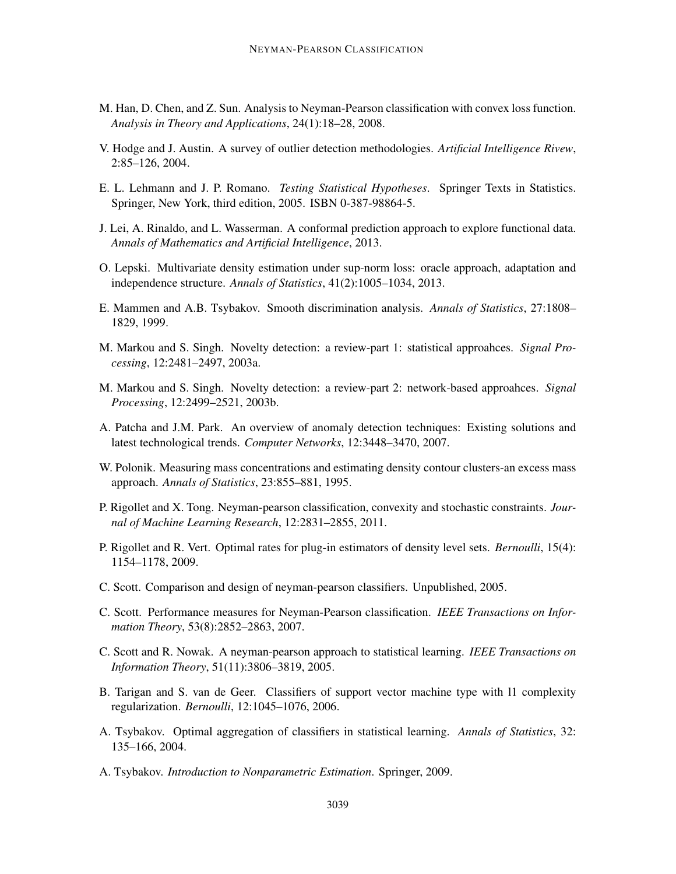- M. Han, D. Chen, and Z. Sun. Analysis to Neyman-Pearson classification with convex loss function. *Analysis in Theory and Applications*, 24(1):18–28, 2008.
- V. Hodge and J. Austin. A survey of outlier detection methodologies. *Artificial Intelligence Rivew*, 2:85–126, 2004.
- E. L. Lehmann and J. P. Romano. *Testing Statistical Hypotheses*. Springer Texts in Statistics. Springer, New York, third edition, 2005. ISBN 0-387-98864-5.
- J. Lei, A. Rinaldo, and L. Wasserman. A conformal prediction approach to explore functional data. *Annals of Mathematics and Artificial Intelligence*, 2013.
- O. Lepski. Multivariate density estimation under sup-norm loss: oracle approach, adaptation and independence structure. *Annals of Statistics*, 41(2):1005–1034, 2013.
- E. Mammen and A.B. Tsybakov. Smooth discrimination analysis. *Annals of Statistics*, 27:1808– 1829, 1999.
- M. Markou and S. Singh. Novelty detection: a review-part 1: statistical approahces. *Signal Processing*, 12:2481–2497, 2003a.
- M. Markou and S. Singh. Novelty detection: a review-part 2: network-based approahces. *Signal Processing*, 12:2499–2521, 2003b.
- A. Patcha and J.M. Park. An overview of anomaly detection techniques: Existing solutions and latest technological trends. *Computer Networks*, 12:3448–3470, 2007.
- W. Polonik. Measuring mass concentrations and estimating density contour clusters-an excess mass approach. *Annals of Statistics*, 23:855–881, 1995.
- P. Rigollet and X. Tong. Neyman-pearson classification, convexity and stochastic constraints. *Journal of Machine Learning Research*, 12:2831–2855, 2011.
- P. Rigollet and R. Vert. Optimal rates for plug-in estimators of density level sets. *Bernoulli*, 15(4): 1154–1178, 2009.
- C. Scott. Comparison and design of neyman-pearson classifiers. Unpublished, 2005.
- C. Scott. Performance measures for Neyman-Pearson classification. *IEEE Transactions on Information Theory*, 53(8):2852–2863, 2007.
- C. Scott and R. Nowak. A neyman-pearson approach to statistical learning. *IEEE Transactions on Information Theory*, 51(11):3806–3819, 2005.
- B. Tarigan and S. van de Geer. Classifiers of support vector machine type with l1 complexity regularization. *Bernoulli*, 12:1045–1076, 2006.
- A. Tsybakov. Optimal aggregation of classifiers in statistical learning. *Annals of Statistics*, 32: 135–166, 2004.
- A. Tsybakov. *Introduction to Nonparametric Estimation*. Springer, 2009.